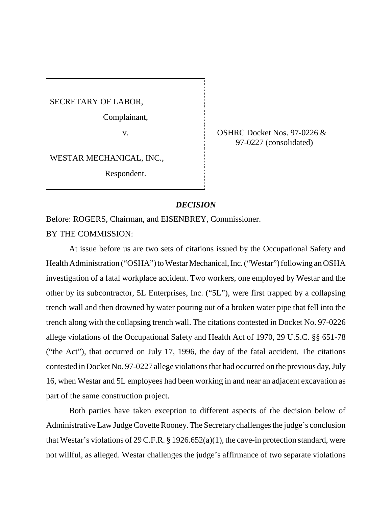SECRETARY OF LABOR,

Complainant,

WESTAR MECHANICAL, INC.,

Respondent.

v. CSHRC Docket Nos. 97-0226 & 97-0227 (consolidated)

### *DECISION*

Before: ROGERS, Chairman, and EISENBREY, Commissioner.

BY THE COMMISSION:

At issue before us are two sets of citations issued by the Occupational Safety and Health Administration ("OSHA") to Westar Mechanical, Inc. ("Westar") following an OSHA investigation of a fatal workplace accident. Two workers, one employed by Westar and the other by its subcontractor, 5L Enterprises, Inc. ("5L"), were first trapped by a collapsing trench wall and then drowned by water pouring out of a broken water pipe that fell into the trench along with the collapsing trench wall. The citations contested in Docket No. 97-0226 allege violations of the Occupational Safety and Health Act of 1970, 29 U.S.C. §§ 651-78 ("the Act"), that occurred on July 17, 1996, the day of the fatal accident. The citations contested in Docket No. 97-0227 allege violations that had occurred on the previous day, July 16, when Westar and 5L employees had been working in and near an adjacent excavation as part of the same construction project.

Both parties have taken exception to different aspects of the decision below of Administrative Law Judge Covette Rooney.The Secretarychallenges the judge's conclusion that Westar's violations of 29 C.F.R. § 1926.652(a)(1), the cave-in protection standard, were not willful, as alleged. Westar challenges the judge's affirmance of two separate violations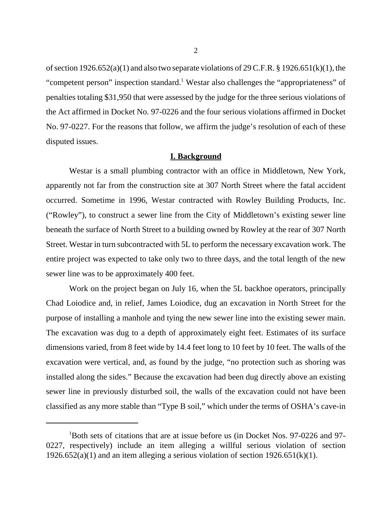of section  $1926.652(a)(1)$  and also two separate violations of  $29$  C.F.R. §  $1926.651(k)(1)$ , the "competent person" inspection standard.<sup>1</sup> Westar also challenges the "appropriateness" of penalties totaling \$31,950 that were assessed by the judge for the three serious violations of the Act affirmed in Docket No. 97-0226 and the four serious violations affirmed in Docket No. 97-0227. For the reasons that follow, we affirm the judge's resolution of each of these disputed issues.

#### **I. Background**

Westar is a small plumbing contractor with an office in Middletown, New York, apparently not far from the construction site at 307 North Street where the fatal accident occurred. Sometime in 1996, Westar contracted with Rowley Building Products, Inc. ("Rowley"), to construct a sewer line from the City of Middletown's existing sewer line beneath the surface of North Street to a building owned by Rowley at the rear of 307 North Street. Westar in turn subcontracted with 5L to perform the necessary excavation work. The entire project was expected to take only two to three days, and the total length of the new sewer line was to be approximately 400 feet.

Work on the project began on July 16, when the 5L backhoe operators, principally Chad Loiodice and, in relief, James Loiodice, dug an excavation in North Street for the purpose of installing a manhole and tying the new sewer line into the existing sewer main. The excavation was dug to a depth of approximately eight feet. Estimates of its surface dimensions varied, from 8 feet wide by 14.4 feet long to 10 feet by 10 feet. The walls of the excavation were vertical, and, as found by the judge, "no protection such as shoring was installed along the sides." Because the excavation had been dug directly above an existing sewer line in previously disturbed soil, the walls of the excavation could not have been classified as any more stable than "Type B soil," which under the terms of OSHA's cave-in

<sup>1</sup> Both sets of citations that are at issue before us (in Docket Nos. 97-0226 and 97- 0227, respectively) include an item alleging a willful serious violation of section 1926.652(a)(1) and an item alleging a serious violation of section 1926.651(k)(1).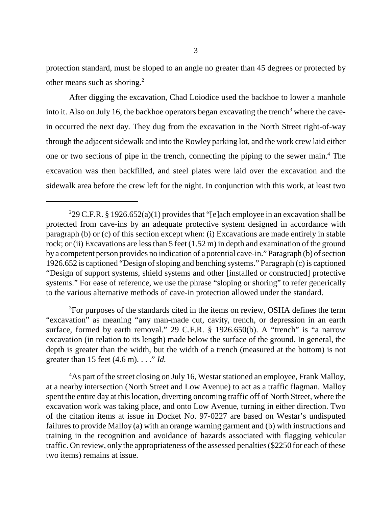protection standard, must be sloped to an angle no greater than 45 degrees or protected by other means such as shoring.<sup>2</sup>

After digging the excavation, Chad Loiodice used the backhoe to lower a manhole into it. Also on July 16, the backhoe operators began excavating the trench<sup>3</sup> where the cavein occurred the next day. They dug from the excavation in the North Street right-of-way through the adjacent sidewalk and into the Rowley parking lot, and the work crew laid either one or two sections of pipe in the trench, connecting the piping to the sewer main.<sup>4</sup> The excavation was then backfilled, and steel plates were laid over the excavation and the sidewalk area before the crew left for the night. In conjunction with this work, at least two

<sup>3</sup>For purposes of the standards cited in the items on review, OSHA defines the term "excavation" as meaning "any man-made cut, cavity, trench, or depression in an earth surface, formed by earth removal." 29 C.F.R. § 1926.650(b). A "trench" is "a narrow excavation (in relation to its length) made below the surface of the ground. In general, the depth is greater than the width, but the width of a trench (measured at the bottom) is not greater than 15 feet (4.6 m). . . ." *Id.* 

<sup>4</sup>As part of the street closing on July 16, Westar stationed an employee, Frank Malloy, at a nearby intersection (North Street and Low Avenue) to act as a traffic flagman. Malloy spent the entire day at this location, diverting oncoming traffic off of North Street, where the excavation work was taking place, and onto Low Avenue, turning in either direction. Two of the citation items at issue in Docket No. 97-0227 are based on Westar's undisputed failures to provide Malloy (a) with an orange warning garment and (b) with instructions and training in the recognition and avoidance of hazards associated with flagging vehicular traffic. On review, only the appropriateness of the assessed penalties (\$2250 for each of these two items) remains at issue.

<sup>&</sup>lt;sup>2</sup>29 C.F.R. § 1926.652(a)(1) provides that "[e]ach employee in an excavation shall be protected from cave-ins by an adequate protective system designed in accordance with paragraph (b) or (c) of this section except when: (i) Excavations are made entirely in stable rock; or (ii) Excavations are less than 5 feet (1.52 m) in depth and examination of the ground by a competent person provides no indication of a potential cave-in." Paragraph (b) of section 1926.652 is captioned "Design ofsloping and benching systems." Paragraph (c) is captioned "Design of support systems, shield systems and other [installed or constructed] protective systems." For ease of reference, we use the phrase "sloping or shoring" to refer generically to the various alternative methods of cave-in protection allowed under the standard.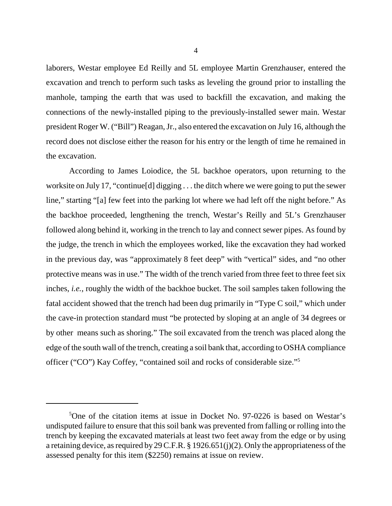laborers, Westar employee Ed Reilly and 5L employee Martin Grenzhauser, entered the excavation and trench to perform such tasks as leveling the ground prior to installing the manhole, tamping the earth that was used to backfill the excavation, and making the connections of the newly-installed piping to the previously-installed sewer main. Westar president Roger W. ("Bill") Reagan, Jr., also entered the excavation on July 16, although the record does not disclose either the reason for his entry or the length of time he remained in the excavation.

According to James Loiodice, the 5L backhoe operators, upon returning to the worksite on July 17, "continue[d] digging . . . the ditch where we were going to put the sewer line," starting "[a] few feet into the parking lot where we had left off the night before." As the backhoe proceeded, lengthening the trench, Westar's Reilly and 5L's Grenzhauser followed along behind it, working in the trench to lay and connect sewer pipes. As found by the judge, the trench in which the employees worked, like the excavation they had worked in the previous day, was "approximately 8 feet deep" with "vertical" sides, and "no other protective means was in use." The width of the trench varied from three feet to three feet six inches, *i.e.*, roughly the width of the backhoe bucket. The soil samples taken following the fatal accident showed that the trench had been dug primarily in "Type C soil," which under the cave-in protection standard must "be protected by sloping at an angle of 34 degrees or by other means such as shoring." The soil excavated from the trench was placed along the edge of the south wall of the trench, creating a soil bank that, according to OSHA compliance officer ("CO") Kay Coffey, "contained soil and rocks of considerable size."5

<sup>5</sup> One of the citation items at issue in Docket No. 97-0226 is based on Westar's undisputed failure to ensure that this soil bank was prevented from falling or rolling into the trench by keeping the excavated materials at least two feet away from the edge or by using a retaining device, as required by 29 C.F.R. § 1926.651(j)(2). Only the appropriateness of the assessed penalty for this item (\$2250) remains at issue on review.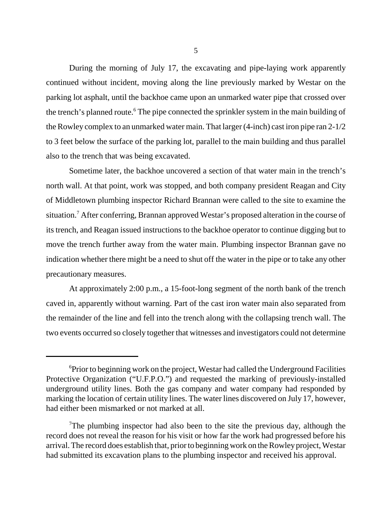During the morning of July 17, the excavating and pipe-laying work apparently continued without incident, moving along the line previously marked by Westar on the parking lot asphalt, until the backhoe came upon an unmarked water pipe that crossed over the trench's planned route.<sup>6</sup> The pipe connected the sprinkler system in the main building of the Rowley complex to an unmarked water main. That larger (4-inch) cast iron pipe ran 2-1/2 to 3 feet below the surface of the parking lot, parallel to the main building and thus parallel also to the trench that was being excavated.

Sometime later, the backhoe uncovered a section of that water main in the trench's north wall. At that point, work was stopped, and both company president Reagan and City of Middletown plumbing inspector Richard Brannan were called to the site to examine the situation.<sup>7</sup> After conferring, Brannan approved Westar's proposed alteration in the course of its trench, and Reagan issued instructions to the backhoe operator to continue digging but to move the trench further away from the water main. Plumbing inspector Brannan gave no indication whether there might be a need to shut off the water in the pipe or to take any other precautionary measures.

At approximately 2:00 p.m., a 15-foot-long segment of the north bank of the trench caved in, apparently without warning. Part of the cast iron water main also separated from the remainder of the line and fell into the trench along with the collapsing trench wall. The two events occurred so closely together that witnesses and investigators could not determine

<sup>&</sup>lt;sup>6</sup>Prior to beginning work on the project, Westar had called the Underground Facilities Protective Organization ("U.F.P.O.") and requested the marking of previously-installed underground utility lines. Both the gas company and water company had responded by marking the location of certain utility lines. The water lines discovered on July 17, however, had either been mismarked or not marked at all.

<sup>&</sup>lt;sup>7</sup>The plumbing inspector had also been to the site the previous day, although the record does not reveal the reason for his visit or how far the work had progressed before his arrival. The record does establish that, prior to beginning work on the Rowley project, Westar had submitted its excavation plans to the plumbing inspector and received his approval.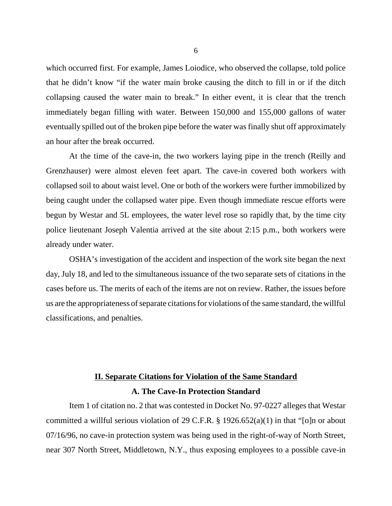which occurred first. For example, James Loiodice, who observed the collapse, told police that he didn't know "if the water main broke causing the ditch to fill in or if the ditch collapsing caused the water main to break." In either event, it is clear that the trench immediately began filling with water. Between 150,000 and 155,000 gallons of water eventually spilled out of the broken pipe before the water was finally shut off approximately an hour after the break occurred.

At the time of the cave-in, the two workers laying pipe in the trench (Reilly and Grenzhauser) were almost eleven feet apart. The cave-in covered both workers with collapsed soil to about waist level. One or both of the workers were further immobilized by being caught under the collapsed water pipe. Even though immediate rescue efforts were begun by Westar and 5L employees, the water level rose so rapidly that, by the time city police lieutenant Joseph Valentia arrived at the site about 2:15 p.m., both workers were already under water.

OSHA's investigation of the accident and inspection of the work site began the next day, July 18, and led to the simultaneous issuance of the two separate sets of citations in the cases before us. The merits of each of the items are not on review. Rather, the issues before us are the appropriateness of separate citations for violations of the same standard, the willful classifications, and penalties.

# **II. Separate Citations for Violation of the Same Standard A. The Cave-In Protection Standard**

Item 1 of citation no. 2 that was contested in Docket No. 97-0227 alleges that Westar committed a willful serious violation of 29 C.F.R. § 1926.652(a)(1) in that "[o]n or about 07/16/96, no cave-in protection system was being used in the right-of-way of North Street, near 307 North Street, Middletown, N.Y., thus exposing employees to a possible cave-in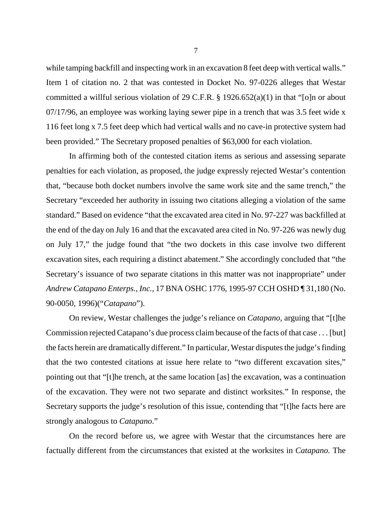while tamping backfill and inspecting work in an excavation 8 feet deep with vertical walls." Item 1 of citation no. 2 that was contested in Docket No. 97-0226 alleges that Westar committed a willful serious violation of 29 C.F.R.  $\S$  1926.652(a)(1) in that "[o]n or about 07/17/96, an employee was working laying sewer pipe in a trench that was 3.5 feet wide x 116 feet long x 7.5 feet deep which had vertical walls and no cave-in protective system had been provided." The Secretary proposed penalties of \$63,000 for each violation.

In affirming both of the contested citation items as serious and assessing separate penalties for each violation, as proposed, the judge expressly rejected Westar's contention that, "because both docket numbers involve the same work site and the same trench," the Secretary "exceeded her authority in issuing two citations alleging a violation of the same standard." Based on evidence "that the excavated area cited in No. 97-227 was backfilled at the end of the day on July 16 and that the excavated area cited in No. 97-226 was newly dug on July 17," the judge found that "the two dockets in this case involve two different excavation sites, each requiring a distinct abatement." She accordingly concluded that "the Secretary's issuance of two separate citations in this matter was not inappropriate" under *Andrew Catapano Enterps., Inc.*, 17 BNA OSHC 1776, 1995-97 CCH OSHD ¶ 31,180 (No. 90-0050, 1996)("*Catapano*").

On review, Westar challenges the judge's reliance on *Catapano*, arguing that "[t]he Commission rejected Catapano's due process claim because of the facts of that case . . . [but] the facts herein are dramatically different." In particular, Westar disputes the judge's finding that the two contested citations at issue here relate to "two different excavation sites," pointing out that "[t]he trench, at the same location [as] the excavation, was a continuation of the excavation. They were not two separate and distinct worksites." In response, the Secretary supports the judge's resolution of this issue, contending that "[t]he facts here are strongly analogous to *Catapano*."

On the record before us, we agree with Westar that the circumstances here are factually different from the circumstances that existed at the worksites in *Catapano.* The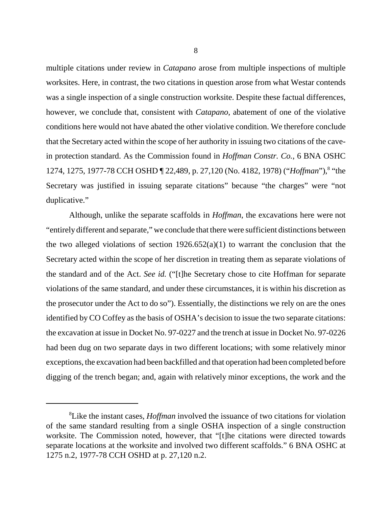multiple citations under review in *Catapano* arose from multiple inspections of multiple worksites. Here, in contrast, the two citations in question arose from what Westar contends was a single inspection of a single construction worksite. Despite these factual differences, however, we conclude that, consistent with *Catapano*, abatement of one of the violative conditions here would not have abated the other violative condition. We therefore conclude that the Secretary acted within the scope of her authority in issuing two citations of the cavein protection standard. As the Commission found in *Hoffman Constr. Co.*, 6 BNA OSHC 1274, 1275, 1977-78 CCH OSHD [22,489, p. 27,120 (No. 4182, 1978) ("*Hoffman*"), <sup>8</sup> "the Secretary was justified in issuing separate citations" because "the charges" were "not duplicative."

Although, unlike the separate scaffolds in *Hoffman*, the excavations here were not "entirely different and separate," we conclude that there were sufficient distinctions between the two alleged violations of section  $1926.652(a)(1)$  to warrant the conclusion that the Secretary acted within the scope of her discretion in treating them as separate violations of the standard and of the Act. *See id.* ("[t]he Secretary chose to cite Hoffman for separate violations of the same standard, and under these circumstances, it is within his discretion as the prosecutor under the Act to do so"). Essentially, the distinctions we rely on are the ones identified by CO Coffey as the basis of OSHA's decision to issue the two separate citations: the excavation at issue in Docket No. 97-0227 and the trench at issue in Docket No. 97-0226 had been dug on two separate days in two different locations; with some relatively minor exceptions, the excavation had been backfilled and that operation had been completed before digging of the trench began; and, again with relatively minor exceptions, the work and the

<sup>8</sup> Like the instant cases, *Hoffman* involved the issuance of two citations for violation of the same standard resulting from a single OSHA inspection of a single construction worksite. The Commission noted, however, that "[t]he citations were directed towards separate locations at the worksite and involved two different scaffolds." 6 BNA OSHC at 1275 n.2, 1977-78 CCH OSHD at p. 27,120 n.2.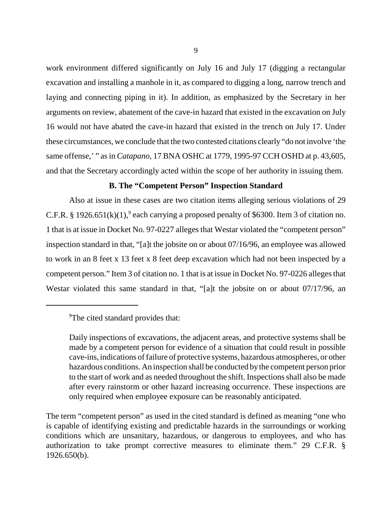work environment differed significantly on July 16 and July 17 (digging a rectangular excavation and installing a manhole in it, as compared to digging a long, narrow trench and laying and connecting piping in it). In addition, as emphasized by the Secretary in her arguments on review, abatement of the cave-in hazard that existed in the excavation on July 16 would not have abated the cave-in hazard that existed in the trench on July 17. Under these circumstances, we conclude that the two contested citations clearly "do not involve 'the same offense,' " as in *Catapano*, 17 BNA OSHC at 1779, 1995-97 CCH OSHD at p. 43,605, and that the Secretary accordingly acted within the scope of her authority in issuing them.

### **B. The "Competent Person" Inspection Standard**

Also at issue in these cases are two citation items alleging serious violations of 29 C.F.R. § 1926.651(k)(1),<sup>9</sup> each carrying a proposed penalty of \$6300. Item 3 of citation no. 1 that is at issue in Docket No. 97-0227 alleges that Westar violated the "competent person" inspection standard in that, "[a]t the jobsite on or about 07/16/96, an employee was allowed to work in an 8 feet x 13 feet x 8 feet deep excavation which had not been inspected by a competent person." Item 3 of citation no. 1 that is at issue in Docket No. 97-0226 alleges that Westar violated this same standard in that, "[a]t the jobsite on or about 07/17/96, an

<sup>&</sup>lt;sup>9</sup>The cited standard provides that:

Daily inspections of excavations, the adjacent areas, and protective systems shall be made by a competent person for evidence of a situation that could result in possible cave-ins, indications of failure of protective systems, hazardous atmospheres, or other hazardous conditions. An inspection shall be conducted by the competent person prior to the start of work and as needed throughout the shift. Inspections shall also be made after every rainstorm or other hazard increasing occurrence. These inspections are only required when employee exposure can be reasonably anticipated.

The term "competent person" as used in the cited standard is defined as meaning "one who is capable of identifying existing and predictable hazards in the surroundings or working conditions which are unsanitary, hazardous, or dangerous to employees, and who has authorization to take prompt corrective measures to eliminate them." 29 C.F.R. § 1926.650(b).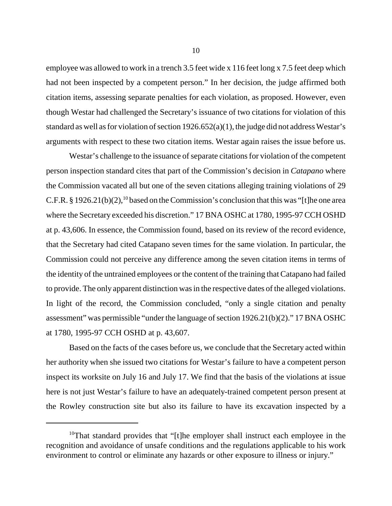employee was allowed to work in a trench 3.5 feet wide x 116 feet long x 7.5 feet deep which had not been inspected by a competent person." In her decision, the judge affirmed both citation items, assessing separate penalties for each violation, as proposed. However, even though Westar had challenged the Secretary's issuance of two citations for violation of this standard as well as for violation of section 1926.652(a)(1), the judge did not address Westar's arguments with respect to these two citation items. Westar again raises the issue before us.

Westar's challenge to the issuance of separate citations for violation of the competent person inspection standard cites that part of the Commission's decision in *Catapano* where the Commission vacated all but one of the seven citations alleging training violations of 29 C.F.R. § 1926.21(b)(2),<sup>10</sup> based on the Commission's conclusion that this was "[t]he one area where the Secretary exceeded his discretion." 17 BNA OSHC at 1780, 1995-97 CCH OSHD at p. 43,606. In essence, the Commission found, based on its review of the record evidence, that the Secretary had cited Catapano seven times for the same violation. In particular, the Commission could not perceive any difference among the seven citation items in terms of the identity of the untrained employees or the content of the training that Catapano had failed to provide. The only apparent distinction was in the respective dates of the alleged violations. In light of the record, the Commission concluded, "only a single citation and penalty assessment" was permissible "under the language of section 1926.21(b)(2)." 17 BNA OSHC at 1780, 1995-97 CCH OSHD at p. 43,607.

Based on the facts of the cases before us, we conclude that the Secretary acted within her authority when she issued two citations for Westar's failure to have a competent person inspect its worksite on July 16 and July 17. We find that the basis of the violations at issue here is not just Westar's failure to have an adequately-trained competent person present at the Rowley construction site but also its failure to have its excavation inspected by a

<sup>&</sup>lt;sup>10</sup>That standard provides that "[t]he employer shall instruct each employee in the recognition and avoidance of unsafe conditions and the regulations applicable to his work environment to control or eliminate any hazards or other exposure to illness or injury."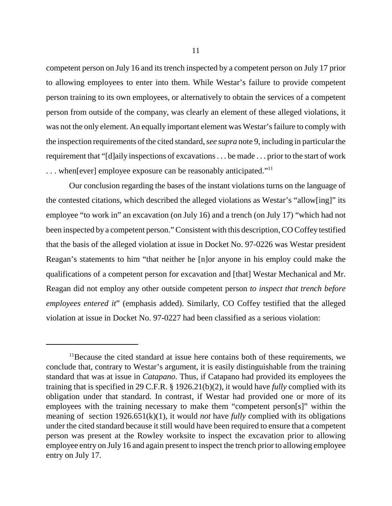competent person on July 16 and its trench inspected by a competent person on July 17 prior to allowing employees to enter into them. While Westar's failure to provide competent person training to its own employees, or alternatively to obtain the services of a competent person from outside of the company, was clearly an element of these alleged violations, it was not the only element. An equally important element was Westar's failure to comply with the inspection requirements of the cited standard, *see supra* note 9, including in particular the requirement that "[d]aily inspections of excavations . . . be made . . . prior to the start of work ... when[ever] employee exposure can be reasonably anticipated."<sup>11</sup>

Our conclusion regarding the bases of the instant violations turns on the language of the contested citations, which described the alleged violations as Westar's "allow[ing]" its employee "to work in" an excavation (on July 16) and a trench (on July 17) "which had not been inspected by a competent person." Consistent with this description, CO Coffey testified that the basis of the alleged violation at issue in Docket No. 97-0226 was Westar president Reagan's statements to him "that neither he [n]or anyone in his employ could make the qualifications of a competent person for excavation and [that] Westar Mechanical and Mr. Reagan did not employ any other outside competent person *to inspect that trench before employees entered it*" (emphasis added). Similarly, CO Coffey testified that the alleged violation at issue in Docket No. 97-0227 had been classified as a serious violation:

<sup>&</sup>lt;sup>11</sup>Because the cited standard at issue here contains both of these requirements, we conclude that, contrary to Westar's argument, it is easily distinguishable from the training standard that was at issue in *Catapano*. Thus, if Catapano had provided its employees the training that is specified in 29 C.F.R. § 1926.21(b)(2), it would have *fully* complied with its obligation under that standard. In contrast, if Westar had provided one or more of its employees with the training necessary to make them "competent person[s]" within the meaning of section 1926.651(k)(1), it would *not* have *fully* complied with its obligations under the cited standard because it still would have been required to ensure that a competent person was present at the Rowley worksite to inspect the excavation prior to allowing employee entry on July 16 and again present to inspect the trench prior to allowing employee entry on July 17.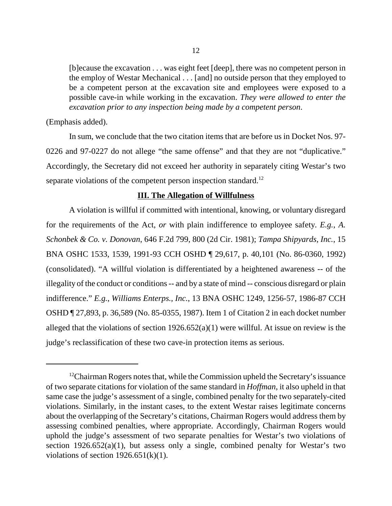[b]ecause the excavation . . . was eight feet [deep], there was no competent person in the employ of Westar Mechanical . . . [and] no outside person that they employed to be a competent person at the excavation site and employees were exposed to a possible cave-in while working in the excavation. *They were allowed to enter the excavation prior to any inspection being made by a competent person*.

(Emphasis added).

In sum, we conclude that the two citation items that are before us in Docket Nos. 97- 0226 and 97-0227 do not allege "the same offense" and that they are not "duplicative." Accordingly, the Secretary did not exceed her authority in separately citing Westar's two separate violations of the competent person inspection standard.<sup>12</sup>

#### **III. The Allegation of Willfulness**

A violation is willful if committed with intentional, knowing, or voluntary disregard for the requirements of the Act, *or* with plain indifference to employee safety. *E.g.*, *A. Schonbek & Co. v. Donovan*, 646 F.2d 799, 800 (2d Cir. 1981); *Tampa Shipyards, Inc.*, 15 BNA OSHC 1533, 1539, 1991-93 CCH OSHD ¶ 29,617, p. 40,101 (No. 86-0360, 1992) (consolidated). "A willful violation is differentiated by a heightened awareness -- of the illegality of the conduct or conditions -- and by a state of mind -- conscious disregard or plain indifference." *E.g.*, *Williams Enterps., Inc.*, 13 BNA OSHC 1249, 1256-57, 1986-87 CCH OSHD ¶ 27,893, p. 36,589 (No. 85-0355, 1987). Item 1 of Citation 2 in each docket number alleged that the violations of section  $1926.652(a)(1)$  were willful. At issue on review is the judge's reclassification of these two cave-in protection items as serious.

<sup>&</sup>lt;sup>12</sup>Chairman Rogers notes that, while the Commission upheld the Secretary's issuance of two separate citations for violation of the same standard in *Hoffman*, it also upheld in that same case the judge's assessment of a single, combined penalty for the two separately-cited violations. Similarly, in the instant cases, to the extent Westar raises legitimate concerns about the overlapping of the Secretary's citations, Chairman Rogers would address them by assessing combined penalties, where appropriate. Accordingly, Chairman Rogers would uphold the judge's assessment of two separate penalties for Westar's two violations of section  $1926.652(a)(1)$ , but assess only a single, combined penalty for Westar's two violations of section  $1926.651(k)(1)$ .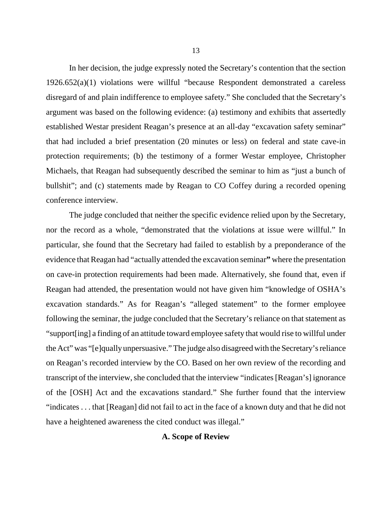In her decision, the judge expressly noted the Secretary's contention that the section 1926.652(a)(1) violations were willful "because Respondent demonstrated a careless disregard of and plain indifference to employee safety." She concluded that the Secretary's argument was based on the following evidence: (a) testimony and exhibits that assertedly established Westar president Reagan's presence at an all-day "excavation safety seminar" that had included a brief presentation (20 minutes or less) on federal and state cave-in protection requirements; (b) the testimony of a former Westar employee, Christopher Michaels, that Reagan had subsequently described the seminar to him as "just a bunch of bullshit"; and (c) statements made by Reagan to CO Coffey during a recorded opening conference interview.

The judge concluded that neither the specific evidence relied upon by the Secretary, nor the record as a whole, "demonstrated that the violations at issue were willful." In particular, she found that the Secretary had failed to establish by a preponderance of the evidence that Reagan had "actually attended the excavation seminar" where the presentation on cave-in protection requirements had been made. Alternatively, she found that, even if Reagan had attended, the presentation would not have given him "knowledge of OSHA's excavation standards." As for Reagan's "alleged statement" to the former employee following the seminar, the judge concluded that the Secretary's reliance on that statement as "support[ing] a finding of an attitude toward employee safety that would rise to willful under the Act" was "[e]qually unpersuasive." The judge also disagreed with the Secretary's reliance on Reagan's recorded interview by the CO. Based on her own review of the recording and transcript of the interview, she concluded that the interview "indicates [Reagan's] ignorance of the [OSH] Act and the excavations standard." She further found that the interview "indicates . . . that [Reagan] did not fail to act in the face of a known duty and that he did not have a heightened awareness the cited conduct was illegal."

### **A. Scope of Review**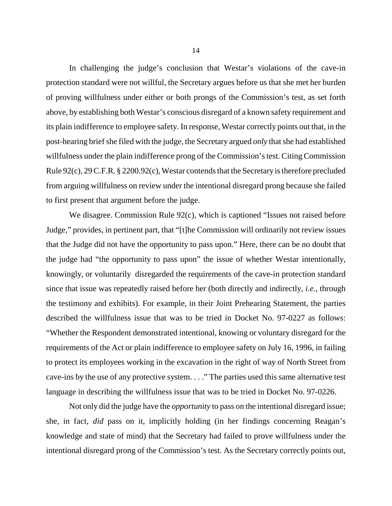In challenging the judge's conclusion that Westar's violations of the cave-in protection standard were not willful, the Secretary argues before us that she met her burden of proving willfulness under either or both prongs of the Commission's test, as set forth above, by establishing both Westar's conscious disregard of a known safety requirement and its plain indifference to employee safety. In response, Westar correctly points out that, in the post-hearing brief she filed with the judge, the Secretary argued *only* that she had established willfulness under the plain indifference prong of the Commission's test. Citing Commission Rule 92(c), 29 C.F.R. § 2200.92(c), Westar contends that the Secretary is therefore precluded from arguing willfulness on review under the intentional disregard prong because she failed to first present that argument before the judge.

We disagree. Commission Rule 92(c), which is captioned "Issues not raised before Judge," provides, in pertinent part, that "[t]he Commission will ordinarily not review issues that the Judge did not have the opportunity to pass upon." Here, there can be no doubt that the judge had "the opportunity to pass upon" the issue of whether Westar intentionally, knowingly, or voluntarily disregarded the requirements of the cave-in protection standard since that issue was repeatedly raised before her (both directly and indirectly, *i.e.*, through the testimony and exhibits). For example, in their Joint Prehearing Statement, the parties described the willfulness issue that was to be tried in Docket No. 97-0227 as follows: "Whether the Respondent demonstrated intentional, knowing or voluntary disregard for the requirements of the Act or plain indifference to employee safety on July 16, 1996, in failing to protect its employees working in the excavation in the right of way of North Street from cave-ins by the use of any protective system. . . ." The parties used this same alternative test language in describing the willfulness issue that was to be tried in Docket No. 97-0226.

Not only did the judge have the *opportunity* to pass on the intentional disregard issue; she, in fact, *did* pass on it, implicitly holding (in her findings concerning Reagan's knowledge and state of mind) that the Secretary had failed to prove willfulness under the intentional disregard prong of the Commission's test. As the Secretary correctly points out,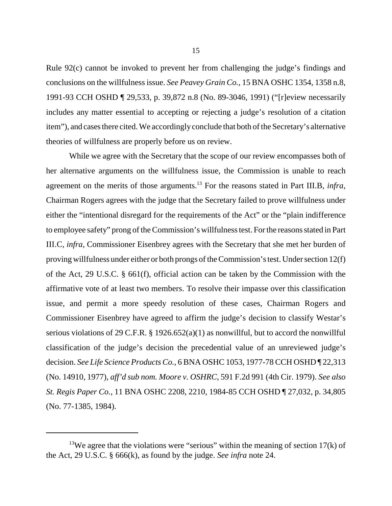Rule 92(c) cannot be invoked to prevent her from challenging the judge's findings and conclusions on the willfulness issue. *See Peavey Grain Co.*, 15 BNA OSHC 1354, 1358 n.8, 1991-93 CCH OSHD ¶ 29,533, p. 39,872 n.8 (No. 89-3046, 1991) ("[r]eview necessarily includes any matter essential to accepting or rejecting a judge's resolution of a citation item"), and cases there cited. We accordingly conclude that both of the Secretary's alternative theories of willfulness are properly before us on review.

While we agree with the Secretary that the scope of our review encompasses both of her alternative arguments on the willfulness issue, the Commission is unable to reach agreement on the merits of those arguments.13 For the reasons stated in Part III.B, *infra*, Chairman Rogers agrees with the judge that the Secretary failed to prove willfulness under either the "intentional disregard for the requirements of the Act" or the "plain indifference to employee safety" prong of the Commission's willfulness test. For the reasons stated in Part III.C, *infra*, Commissioner Eisenbrey agrees with the Secretary that she met her burden of proving willfulness under either or both prongs of the Commission's test. Under section 12(f) of the Act, 29 U.S.C. § 661(f), official action can be taken by the Commission with the affirmative vote of at least two members. To resolve their impasse over this classification issue, and permit a more speedy resolution of these cases, Chairman Rogers and Commissioner Eisenbrey have agreed to affirm the judge's decision to classify Westar's serious violations of 29 C.F.R. § 1926.652(a)(1) as nonwillful, but to accord the nonwillful classification of the judge's decision the precedential value of an unreviewed judge's decision. *See Life Science Products Co.*, 6 BNA OSHC 1053, 1977-78 CCH OSHD ¶ 22,313 (No. 14910, 1977), *aff'd sub nom. Moore v. OSHRC*, 591 F.2d 991 (4th Cir. 1979). *See also St. Regis Paper Co.*, 11 BNA OSHC 2208, 2210, 1984-85 CCH OSHD ¶ 27,032, p. 34,805 (No. 77-1385, 1984).

<sup>&</sup>lt;sup>13</sup>We agree that the violations were "serious" within the meaning of section  $17(k)$  of the Act, 29 U.S.C. § 666(k), as found by the judge. *See infra* note 24.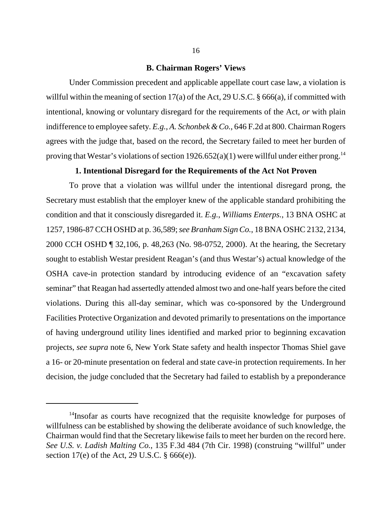#### **B. Chairman Rogers' Views**

Under Commission precedent and applicable appellate court case law, a violation is willful within the meaning of section 17(a) of the Act, 29 U.S.C. § 666(a), if committed with intentional, knowing or voluntary disregard for the requirements of the Act, *or* with plain indifference to employee safety. *E.g.*, *A. Schonbek & Co.*, 646 F.2d at 800. Chairman Rogers agrees with the judge that, based on the record, the Secretary failed to meet her burden of proving that Westar's violations of section  $1926.652(a)(1)$  were willful under either prong.<sup>14</sup>

#### **1. Intentional Disregard for the Requirements of the Act Not Proven**

To prove that a violation was willful under the intentional disregard prong, the Secretary must establish that the employer knew of the applicable standard prohibiting the condition and that it consciously disregarded it. *E.g.*, *Williams Enterps.*, 13 BNA OSHC at 1257, 1986-87 CCH OSHD at p. 36,589; *see Branham Sign Co.*, 18 BNA OSHC 2132, 2134, 2000 CCH OSHD ¶ 32,106, p. 48,263 (No. 98-0752, 2000). At the hearing, the Secretary sought to establish Westar president Reagan's (and thus Westar's) actual knowledge of the OSHA cave-in protection standard by introducing evidence of an "excavation safety seminar" that Reagan had assertedly attended almost two and one-half years before the cited violations. During this all-day seminar, which was co-sponsored by the Underground Facilities Protective Organization and devoted primarily to presentations on the importance of having underground utility lines identified and marked prior to beginning excavation projects, *see supra* note 6, New York State safety and health inspector Thomas Shiel gave a 16- or 20-minute presentation on federal and state cave-in protection requirements. In her decision, the judge concluded that the Secretary had failed to establish by a preponderance

<sup>&</sup>lt;sup>14</sup>Insofar as courts have recognized that the requisite knowledge for purposes of willfulness can be established by showing the deliberate avoidance of such knowledge, the Chairman would find that the Secretary likewise fails to meet her burden on the record here. *See U.S. v. Ladish Malting Co.*, 135 F.3d 484 (7th Cir. 1998) (construing "willful" under section 17(e) of the Act, 29 U.S.C. § 666(e)).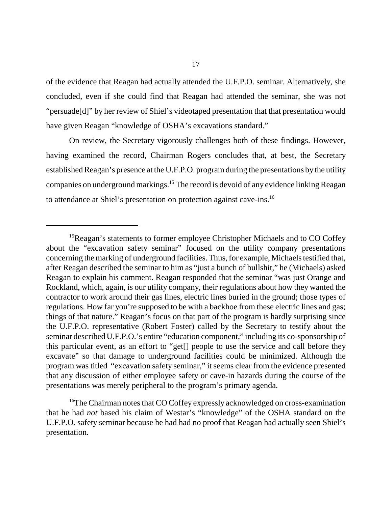of the evidence that Reagan had actually attended the U.F.P.O. seminar. Alternatively, she concluded, even if she could find that Reagan had attended the seminar, she was not "persuade[d]" by her review of Shiel's videotaped presentation that that presentation would have given Reagan "knowledge of OSHA's excavations standard."

On review, the Secretary vigorously challenges both of these findings. However, having examined the record, Chairman Rogers concludes that, at best, the Secretary established Reagan's presence at the U.F.P.O. program during the presentations by the utility companies on underground markings.15 The record is devoid of any evidence linking Reagan to attendance at Shiel's presentation on protection against cave-ins.16

<sup>&</sup>lt;sup>15</sup>Reagan's statements to former employee Christopher Michaels and to CO Coffey about the "excavation safety seminar" focused on the utility company presentations concerning the marking of underground facilities. Thus, for example, Michaels testified that, after Reagan described the seminar to him as "just a bunch of bullshit," he (Michaels) asked Reagan to explain his comment. Reagan responded that the seminar "was just Orange and Rockland, which, again, is our utility company, their regulations about how they wanted the contractor to work around their gas lines, electric lines buried in the ground; those types of regulations. How far you're supposed to be with a backhoe from these electric lines and gas; things of that nature." Reagan's focus on that part of the program is hardly surprising since the U.F.P.O. representative (Robert Foster) called by the Secretary to testify about the seminar described U.F.P.O.'s entire "education component," including its co-sponsorship of this particular event, as an effort to "get[] people to use the service and call before they excavate" so that damage to underground facilities could be minimized. Although the program was titled "excavation safety seminar," it seems clear from the evidence presented that any discussion of either employee safety or cave-in hazards during the course of the presentations was merely peripheral to the program's primary agenda.

<sup>&</sup>lt;sup>16</sup>The Chairman notes that CO Coffey expressly acknowledged on cross-examination that he had *not* based his claim of Westar's "knowledge" of the OSHA standard on the U.F.P.O. safety seminar because he had had no proof that Reagan had actually seen Shiel's presentation.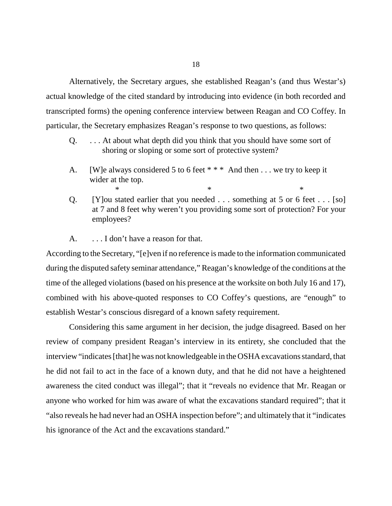Alternatively, the Secretary argues, she established Reagan's (and thus Westar's) actual knowledge of the cited standard by introducing into evidence (in both recorded and transcripted forms) the opening conference interview between Reagan and CO Coffey. In particular, the Secretary emphasizes Reagan's response to two questions, as follows:

- Q. . . . At about what depth did you think that you should have some sort of shoring or sloping or some sort of protective system?
- A. [W]e always considered 5 to 6 feet \* \* \* And then . . . we try to keep it wider at the top.
- Q. [Y]ou stated earlier that you needed . . . something at 5 or 6 feet . . . [so] at 7 and 8 feet why weren't you providing some sort of protection? For your employees?

 $*$   $*$ 

A. . . . I don't have a reason for that.

According to the Secretary, "[e]ven if no reference is made to the information communicated during the disputed safety seminar attendance," Reagan's knowledge of the conditions at the time of the alleged violations (based on his presence at the worksite on both July 16 and 17), combined with his above-quoted responses to CO Coffey's questions, are "enough" to establish Westar's conscious disregard of a known safety requirement.

Considering this same argument in her decision, the judge disagreed. Based on her review of company president Reagan's interview in its entirety, she concluded that the interview "indicates [that] he was not knowledgeable in the OSHA excavations standard, that he did not fail to act in the face of a known duty, and that he did not have a heightened awareness the cited conduct was illegal"; that it "reveals no evidence that Mr. Reagan or anyone who worked for him was aware of what the excavations standard required"; that it "also reveals he had never had an OSHA inspection before"; and ultimately that it "indicates his ignorance of the Act and the excavations standard."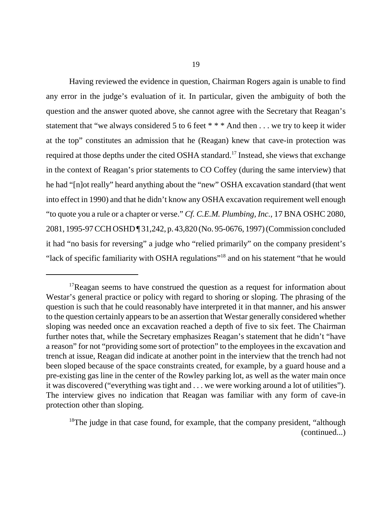Having reviewed the evidence in question, Chairman Rogers again is unable to find any error in the judge's evaluation of it. In particular, given the ambiguity of both the question and the answer quoted above, she cannot agree with the Secretary that Reagan's statement that "we always considered 5 to 6 feet \* \* \* And then . . . we try to keep it wider at the top" constitutes an admission that he (Reagan) knew that cave-in protection was required at those depths under the cited OSHA standard.17 Instead, she views that exchange in the context of Reagan's prior statements to CO Coffey (during the same interview) that he had "[n]ot really" heard anything about the "new" OSHA excavation standard (that went into effect in 1990) and that he didn't know any OSHA excavation requirement well enough "to quote you a rule or a chapter or verse." *Cf. C.E.M. Plumbing, Inc.*, 17 BNA OSHC 2080, 2081, 1995-97 CCH OSHD ¶ 31,242, p. 43,820 (No. 95-0676, 1997) (Commission concluded it had "no basis for reversing" a judge who "relied primarily" on the company president's "lack of specific familiarity with OSHA regulations"18 and on his statement "that he would

 $17$ Reagan seems to have construed the question as a request for information about Westar's general practice or policy with regard to shoring or sloping. The phrasing of the question is such that he could reasonably have interpreted it in that manner, and his answer to the question certainly appears to be an assertion that Westar generally considered whether sloping was needed once an excavation reached a depth of five to six feet. The Chairman further notes that, while the Secretary emphasizes Reagan's statement that he didn't "have a reason" for not "providing some sort of protection" to the employees in the excavation and trench at issue, Reagan did indicate at another point in the interview that the trench had not been sloped because of the space constraints created, for example, by a guard house and a pre-existing gas line in the center of the Rowley parking lot, as well as the water main once it was discovered ("everything was tight and . . . we were working around a lot of utilities"). The interview gives no indication that Reagan was familiar with any form of cave-in protection other than sloping.

<sup>&</sup>lt;sup>18</sup>The judge in that case found, for example, that the company president, "although" (continued...)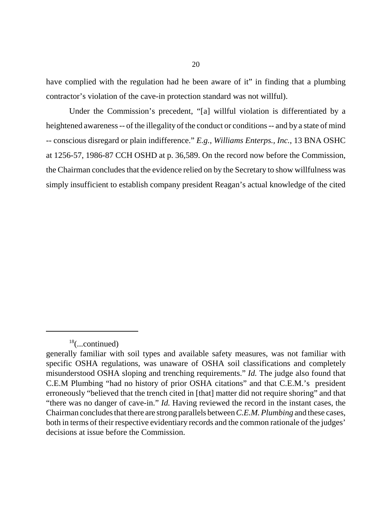have complied with the regulation had he been aware of it" in finding that a plumbing contractor's violation of the cave-in protection standard was not willful).

Under the Commission's precedent, "[a] willful violation is differentiated by a heightened awareness -- of the illegality of the conduct or conditions -- and by a state of mind -- conscious disregard or plain indifference." *E.g.*, *Williams Enterps., Inc.*, 13 BNA OSHC at 1256-57, 1986-87 CCH OSHD at p. 36,589. On the record now before the Commission, the Chairman concludes that the evidence relied on by the Secretary to show willfulness was simply insufficient to establish company president Reagan's actual knowledge of the cited

 $18$ (...continued)

generally familiar with soil types and available safety measures, was not familiar with specific OSHA regulations, was unaware of OSHA soil classifications and completely misunderstood OSHA sloping and trenching requirements." *Id.* The judge also found that C.E.M Plumbing "had no history of prior OSHA citations" and that C.E.M.'s president erroneously "believed that the trench cited in [that] matter did not require shoring" and that "there was no danger of cave-in." *Id.* Having reviewed the record in the instant cases, the Chairman concludes that there are strong parallels between *C.E.M. Plumbing* and these cases, both in terms of their respective evidentiary records and the common rationale of the judges' decisions at issue before the Commission.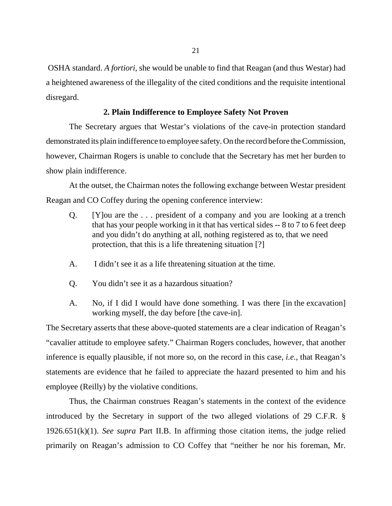OSHA standard. *A fortiori*, she would be unable to find that Reagan (and thus Westar) had a heightened awareness of the illegality of the cited conditions and the requisite intentional disregard.

#### **2. Plain Indifference to Employee Safety Not Proven**

The Secretary argues that Westar's violations of the cave-in protection standard demonstrated its plain indifference to employee safety. On the record before the Commission, however, Chairman Rogers is unable to conclude that the Secretary has met her burden to show plain indifference.

At the outset, the Chairman notes the following exchange between Westar president Reagan and CO Coffey during the opening conference interview:

- Q. [Y]ou are the . . . president of a company and you are looking at a trench that has your people working in it that has vertical sides -- 8 to 7 to 6 feet deep and you didn't do anything at all, nothing registered as to, that we need protection, that this is a life threatening situation [?]
- A. I didn't see it as a life threatening situation at the time.
- Q. You didn't see it as a hazardous situation?
- A. No, if I did I would have done something. I was there [in the excavation] working myself, the day before [the cave-in].

The Secretary asserts that these above-quoted statements are a clear indication of Reagan's "cavalier attitude to employee safety." Chairman Rogers concludes, however, that another inference is equally plausible, if not more so, on the record in this case, *i.e.*, that Reagan's statements are evidence that he failed to appreciate the hazard presented to him and his employee (Reilly) by the violative conditions.

Thus, the Chairman construes Reagan's statements in the context of the evidence introduced by the Secretary in support of the two alleged violations of 29 C.F.R. § 1926.651(k)(1). *See supra* Part II.B. In affirming those citation items, the judge relied primarily on Reagan's admission to CO Coffey that "neither he nor his foreman, Mr.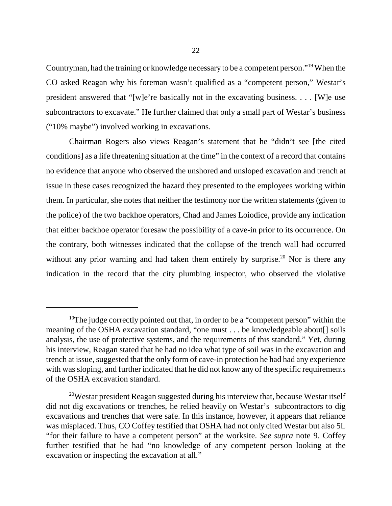Countryman, had the training or knowledge necessary to be a competent person."19 When the CO asked Reagan why his foreman wasn't qualified as a "competent person," Westar's president answered that "[w]e're basically not in the excavating business. . . . [W]e use subcontractors to excavate." He further claimed that only a small part of Westar's business ("10% maybe") involved working in excavations.

Chairman Rogers also views Reagan's statement that he "didn't see [the cited conditions] as a life threatening situation at the time" in the context of a record that contains no evidence that anyone who observed the unshored and unsloped excavation and trench at issue in these cases recognized the hazard they presented to the employees working within them. In particular, she notes that neither the testimony nor the written statements (given to the police) of the two backhoe operators, Chad and James Loiodice, provide any indication that either backhoe operator foresaw the possibility of a cave-in prior to its occurrence. On the contrary, both witnesses indicated that the collapse of the trench wall had occurred without any prior warning and had taken them entirely by surprise.<sup>20</sup> Nor is there any indication in the record that the city plumbing inspector, who observed the violative

<sup>&</sup>lt;sup>19</sup>The judge correctly pointed out that, in order to be a "competent person" within the meaning of the OSHA excavation standard, "one must . . . be knowledgeable about[] soils analysis, the use of protective systems, and the requirements of this standard." Yet, during his interview, Reagan stated that he had no idea what type of soil was in the excavation and trench at issue, suggested that the only form of cave-in protection he had had any experience with was sloping, and further indicated that he did not know any of the specific requirements of the OSHA excavation standard.

<sup>&</sup>lt;sup>20</sup>Westar president Reagan suggested during his interview that, because Westar itself did not dig excavations or trenches, he relied heavily on Westar's subcontractors to dig excavations and trenches that were safe. In this instance, however, it appears that reliance was misplaced. Thus, CO Coffey testified that OSHA had not only cited Westar but also 5L "for their failure to have a competent person" at the worksite. *See supra* note 9. Coffey further testified that he had "no knowledge of any competent person looking at the excavation or inspecting the excavation at all."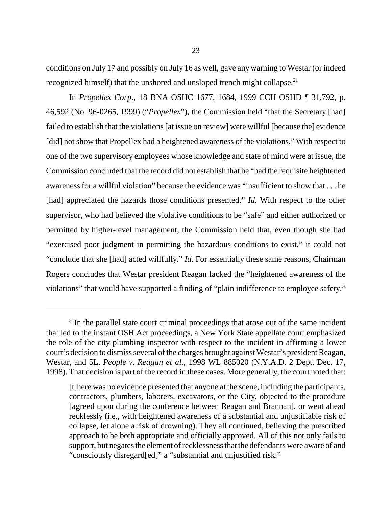conditions on July 17 and possibly on July 16 as well, gave any warning to Westar (or indeed recognized himself) that the unshored and unsloped trench might collapse.<sup>21</sup>

In *Propellex Corp.*, 18 BNA OSHC 1677, 1684, 1999 CCH OSHD ¶ 31,792, p. 46,592 (No. 96-0265, 1999) ("*Propellex*"), the Commission held "that the Secretary [had] failed to establish that the violations [at issue on review] were willful [because the] evidence [did] not show that Propellex had a heightened awareness of the violations." With respect to one of the two supervisory employees whose knowledge and state of mind were at issue, the Commission concluded that the record did not establish that he "had the requisite heightened awareness for a willful violation" because the evidence was "insufficient to show that . . . he [had] appreciated the hazards those conditions presented." *Id.* With respect to the other supervisor, who had believed the violative conditions to be "safe" and either authorized or permitted by higher-level management, the Commission held that, even though she had "exercised poor judgment in permitting the hazardous conditions to exist," it could not "conclude that she [had] acted willfully." *Id.* For essentially these same reasons, Chairman Rogers concludes that Westar president Reagan lacked the "heightened awareness of the violations" that would have supported a finding of "plain indifference to employee safety."

<sup>&</sup>lt;sup>21</sup>In the parallel state court criminal proceedings that arose out of the same incident that led to the instant OSH Act proceedings, a New York State appellate court emphasized the role of the city plumbing inspector with respect to the incident in affirming a lower court's decision to dismiss several of the charges brought against Westar's president Reagan, Westar, and 5L. *People v. Reagan et al.*, 1998 WL 885020 (N.Y.A.D. 2 Dept. Dec. 17, 1998). That decision is part of the record in these cases. More generally, the court noted that:

<sup>[</sup>t]here was no evidence presented that anyone at the scene, including the participants, contractors, plumbers, laborers, excavators, or the City, objected to the procedure [agreed upon during the conference between Reagan and Brannan], or went ahead recklessly (i.e., with heightened awareness of a substantial and unjustifiable risk of collapse, let alone a risk of drowning). They all continued, believing the prescribed approach to be both appropriate and officially approved. All of this not only fails to support, but negates the element of recklessness that the defendants were aware of and "consciously disregard[ed]" a "substantial and unjustified risk."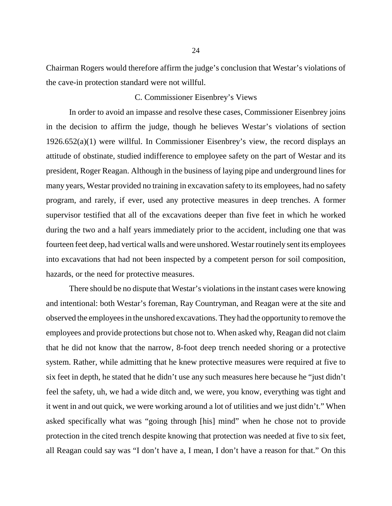Chairman Rogers would therefore affirm the judge's conclusion that Westar's violations of the cave-in protection standard were not willful.

#### C. Commissioner Eisenbrey's Views

In order to avoid an impasse and resolve these cases, Commissioner Eisenbrey joins in the decision to affirm the judge, though he believes Westar's violations of section 1926.652(a)(1) were willful. In Commissioner Eisenbrey's view, the record displays an attitude of obstinate, studied indifference to employee safety on the part of Westar and its president, Roger Reagan. Although in the business of laying pipe and underground lines for many years, Westar provided no training in excavation safety to its employees, had no safety program, and rarely, if ever, used any protective measures in deep trenches. A former supervisor testified that all of the excavations deeper than five feet in which he worked during the two and a half years immediately prior to the accident, including one that was fourteen feet deep, had vertical walls and were unshored. Westar routinely sent its employees into excavations that had not been inspected by a competent person for soil composition, hazards, or the need for protective measures.

There should be no dispute that Westar's violations in the instant cases were knowing and intentional: both Westar's foreman, Ray Countryman, and Reagan were at the site and observed the employees in the unshored excavations. They had the opportunity to remove the employees and provide protections but chose not to. When asked why, Reagan did not claim that he did not know that the narrow, 8-foot deep trench needed shoring or a protective system. Rather, while admitting that he knew protective measures were required at five to six feet in depth, he stated that he didn't use any such measures here because he "just didn't feel the safety, uh, we had a wide ditch and, we were, you know, everything was tight and it went in and out quick, we were working around a lot of utilities and we just didn't." When asked specifically what was "going through [his] mind" when he chose not to provide protection in the cited trench despite knowing that protection was needed at five to six feet, all Reagan could say was "I don't have a, I mean, I don't have a reason for that." On this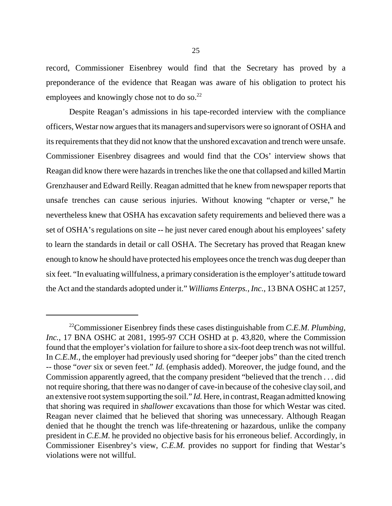record, Commissioner Eisenbrey would find that the Secretary has proved by a preponderance of the evidence that Reagan was aware of his obligation to protect his employees and knowingly chose not to do so.<sup>22</sup>

Despite Reagan's admissions in his tape-recorded interview with the compliance officers, Westar now argues that its managers and supervisors were so ignorant of OSHA and its requirements that they did not know that the unshored excavation and trench were unsafe. Commissioner Eisenbrey disagrees and would find that the COs' interview shows that Reagan did know there were hazards in trenches like the one that collapsed and killed Martin Grenzhauser and Edward Reilly. Reagan admitted that he knew from newspaper reports that unsafe trenches can cause serious injuries. Without knowing "chapter or verse," he nevertheless knew that OSHA has excavation safety requirements and believed there was a set of OSHA's regulations on site -- he just never cared enough about his employees' safety to learn the standards in detail or call OSHA. The Secretary has proved that Reagan knew enough to know he should have protected his employees once the trench was dug deeper than six feet. "In evaluating willfulness, a primary consideration is the employer's attitude toward the Act and the standards adopted under it." *Williams Enterps., Inc.*, 13 BNA OSHC at 1257,

<sup>22</sup>Commissioner Eisenbrey finds these cases distinguishable from *C.E.M. Plumbing, Inc.*, 17 BNA OSHC at 2081, 1995-97 CCH OSHD at p. 43,820, where the Commission found that the employer's violation for failure to shore a six-foot deep trench was not willful. In *C.E.M.*, the employer had previously used shoring for "deeper jobs" than the cited trench -- those "*over* six or seven feet." *Id.* (emphasis added). Moreover, the judge found, and the Commission apparently agreed, that the company president "believed that the trench . . . did not require shoring, that there was no danger of cave-in because of the cohesive clay soil, and an extensive root system supporting the soil." *Id.* Here, in contrast, Reagan admitted knowing that shoring was required in *shallower* excavations than those for which Westar was cited. Reagan never claimed that he believed that shoring was unnecessary. Although Reagan denied that he thought the trench was life-threatening or hazardous, unlike the company president in *C.E.M.* he provided no objective basis for his erroneous belief. Accordingly, in Commissioner Eisenbrey's view, *C.E.M.* provides no support for finding that Westar's violations were not willful.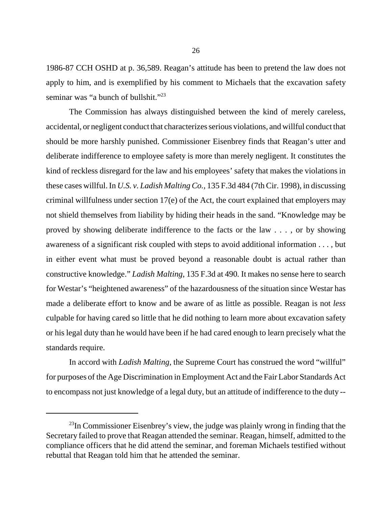1986-87 CCH OSHD at p. 36,589. Reagan's attitude has been to pretend the law does not apply to him, and is exemplified by his comment to Michaels that the excavation safety seminar was "a bunch of bullshit."<sup>23</sup>

The Commission has always distinguished between the kind of merely careless, accidental, or negligent conduct that characterizes serious violations, and willful conduct that should be more harshly punished. Commissioner Eisenbrey finds that Reagan's utter and deliberate indifference to employee safety is more than merely negligent. It constitutes the kind of reckless disregard for the law and his employees' safety that makes the violations in these cases willful. In *U.S. v. Ladish Malting Co.,* 135 F.3d 484 (7th Cir. 1998), in discussing criminal willfulness under section 17(e) of the Act, the court explained that employers may not shield themselves from liability by hiding their heads in the sand. "Knowledge may be proved by showing deliberate indifference to the facts or the law . . . , or by showing awareness of a significant risk coupled with steps to avoid additional information . . . , but in either event what must be proved beyond a reasonable doubt is actual rather than constructive knowledge." *Ladish Malting,* 135 F.3d at 490*.* It makes no sense here to search for Westar's "heightened awareness" of the hazardousness of the situation since Westar has made a deliberate effort to know and be aware of as little as possible. Reagan is not *less*  culpable for having cared so little that he did nothing to learn more about excavation safety or his legal duty than he would have been if he had cared enough to learn precisely what the standards require.

-- to encompass not just knowledge of a legal duty, but an attitude of indifference to the duty In accord with *Ladish Malting*, the Supreme Court has construed the word "willful" for purposes of the Age Discrimination in Employment Act and the Fair Labor Standards Act

 $^{23}$ In Commissioner Eisenbrey's view, the judge was plainly wrong in finding that the Secretary failed to prove that Reagan attended the seminar. Reagan, himself, admitted to the compliance officers that he did attend the seminar, and foreman Michaels testified without rebuttal that Reagan told him that he attended the seminar.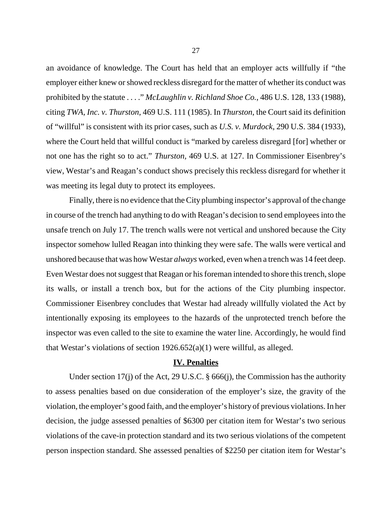an avoidance of knowledge. The Court has held that an employer acts willfully if "the employer either knew or showed reckless disregard for the matter of whether its conduct was prohibited by the statute . . . ." *McLaughlin v. Richland Shoe Co.*, 486 U.S. 128, 133 (1988), citing *TWA, Inc. v. Thurston*, 469 U.S. 111 (1985). In *Thurston*, the Court said its definition of "willful" is consistent with its prior cases, such as *U.S. v. Murdock*, 290 U.S. 384 (1933), where the Court held that willful conduct is "marked by careless disregard [for] whether or not one has the right so to act." *Thurston,* 469 U.S. at 127. In Commissioner Eisenbrey's view, Westar's and Reagan's conduct shows precisely this reckless disregard for whether it was meeting its legal duty to protect its employees.

Finally, there is no evidence that the City plumbing inspector's approval of the change in course of the trench had anything to do with Reagan's decision to send employees into the unsafe trench on July 17. The trench walls were not vertical and unshored because the City inspector somehow lulled Reagan into thinking they were safe. The walls were vertical and unshored because that was how Westar *always* worked, even when a trench was 14 feet deep. Even Westar does not suggest that Reagan or his foreman intended to shore this trench, slope its walls, or install a trench box, but for the actions of the City plumbing inspector. Commissioner Eisenbrey concludes that Westar had already willfully violated the Act by intentionally exposing its employees to the hazards of the unprotected trench before the inspector was even called to the site to examine the water line. Accordingly, he would find that Westar's violations of section 1926.652(a)(1) were willful, as alleged.

#### **IV. Penalties**

Under section 17(j) of the Act, 29 U.S.C. § 666(j), the Commission has the authority to assess penalties based on due consideration of the employer's size, the gravity of the violation, the employer's good faith, and the employer's history of previous violations. In her decision, the judge assessed penalties of \$6300 per citation item for Westar's two serious violations of the cave-in protection standard and its two serious violations of the competent person inspection standard. She assessed penalties of \$2250 per citation item for Westar's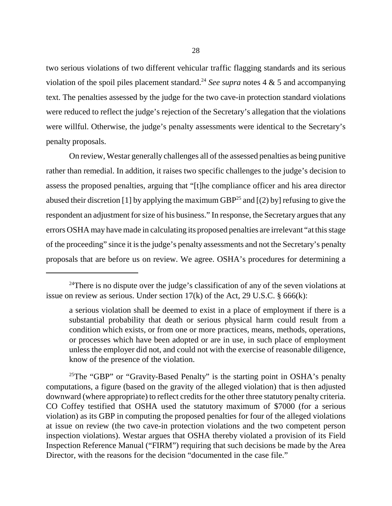two serious violations of two different vehicular traffic flagging standards and its serious violation of the spoil piles placement standard.<sup>24</sup> *See supra* notes 4  $\&$  5 and accompanying text. The penalties assessed by the judge for the two cave-in protection standard violations were reduced to reflect the judge's rejection of the Secretary's allegation that the violations were willful. Otherwise, the judge's penalty assessments were identical to the Secretary's penalty proposals.

On review, Westar generally challenges all of the assessed penalties as being punitive rather than remedial. In addition, it raises two specific challenges to the judge's decision to assess the proposed penalties, arguing that "[t]he compliance officer and his area director abused their discretion [1] by applying the maximum GBP<sup>25</sup> and  $[(2)$  by] refusing to give the respondent an adjustment for size of his business." In response, the Secretary argues that any errors OSHA may have made in calculating its proposed penalties are irrelevant "at this stage of the proceeding" since it is the judge's penalty assessments and not the Secretary's penalty proposals that are before us on review. We agree. OSHA's procedures for determining a

<sup>25</sup>The "GBP" or "Gravity-Based Penalty" is the starting point in OSHA's penalty computations, a figure (based on the gravity of the alleged violation) that is then adjusted downward (where appropriate) to reflect credits for the other three statutory penalty criteria. CO Coffey testified that OSHA used the statutory maximum of \$7000 (for a serious violation) as its GBP in computing the proposed penalties for four of the alleged violations at issue on review (the two cave-in protection violations and the two competent person inspection violations). Westar argues that OSHA thereby violated a provision of its Field Inspection Reference Manual ("FIRM") requiring that such decisions be made by the Area Director, with the reasons for the decision "documented in the case file."

<sup>&</sup>lt;sup>24</sup>There is no dispute over the judge's classification of any of the seven violations at issue on review as serious. Under section  $17(k)$  of the Act, 29 U.S.C. § 666(k):

a serious violation shall be deemed to exist in a place of employment if there is a substantial probability that death or serious physical harm could result from a condition which exists, or from one or more practices, means, methods, operations, or processes which have been adopted or are in use, in such place of employment unless the employer did not, and could not with the exercise of reasonable diligence, know of the presence of the violation.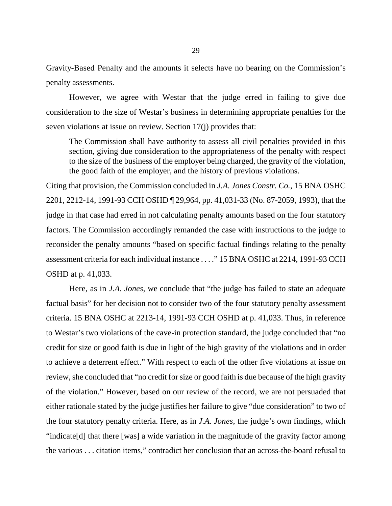Gravity-Based Penalty and the amounts it selects have no bearing on the Commission's penalty assessments.

However, we agree with Westar that the judge erred in failing to give due consideration to the size of Westar's business in determining appropriate penalties for the seven violations at issue on review. Section 17(j) provides that:

The Commission shall have authority to assess all civil penalties provided in this section, giving due consideration to the appropriateness of the penalty with respect to the size of the business of the employer being charged, the gravity of the violation, the good faith of the employer, and the history of previous violations.

Citing that provision, the Commission concluded in *J.A. Jones Constr. Co.*, 15 BNA OSHC 2201, 2212-14, 1991-93 CCH OSHD ¶ 29,964, pp. 41,031-33 (No. 87-2059, 1993), that the judge in that case had erred in not calculating penalty amounts based on the four statutory factors. The Commission accordingly remanded the case with instructions to the judge to reconsider the penalty amounts "based on specific factual findings relating to the penalty assessment criteria for each individual instance . . . ." 15 BNA OSHC at 2214, 1991-93 CCH OSHD at p. 41,033.

Here, as in *J.A. Jones*, we conclude that "the judge has failed to state an adequate factual basis" for her decision not to consider two of the four statutory penalty assessment criteria. 15 BNA OSHC at 2213-14, 1991-93 CCH OSHD at p. 41,033. Thus, in reference to Westar's two violations of the cave-in protection standard, the judge concluded that "no credit for size or good faith is due in light of the high gravity of the violations and in order to achieve a deterrent effect." With respect to each of the other five violations at issue on review, she concluded that "no credit for size or good faith is due because of the high gravity of the violation." However, based on our review of the record, we are not persuaded that either rationale stated by the judge justifies her failure to give "due consideration" to two of the four statutory penalty criteria. Here, as in *J.A. Jones*, the judge's own findings, which "indicate[d] that there [was] a wide variation in the magnitude of the gravity factor among the various . . . citation items," contradict her conclusion that an across-the-board refusal to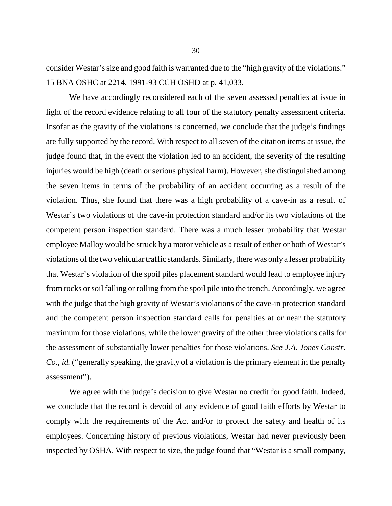consider Westar's size and good faith is warranted due to the "high gravity of the violations." 15 BNA OSHC at 2214, 1991-93 CCH OSHD at p. 41,033.

We have accordingly reconsidered each of the seven assessed penalties at issue in light of the record evidence relating to all four of the statutory penalty assessment criteria. Insofar as the gravity of the violations is concerned, we conclude that the judge's findings are fully supported by the record. With respect to all seven of the citation items at issue, the judge found that, in the event the violation led to an accident, the severity of the resulting injuries would be high (death or serious physical harm). However, she distinguished among the seven items in terms of the probability of an accident occurring as a result of the violation. Thus, she found that there was a high probability of a cave-in as a result of Westar's two violations of the cave-in protection standard and/or its two violations of the competent person inspection standard. There was a much lesser probability that Westar employee Malloy would be struck by a motor vehicle as a result of either or both of Westar's violations of the two vehicular traffic standards. Similarly, there was only a lesser probability that Westar's violation of the spoil piles placement standard would lead to employee injury from rocks or soil falling or rolling from the spoil pile into the trench. Accordingly, we agree with the judge that the high gravity of Westar's violations of the cave-in protection standard and the competent person inspection standard calls for penalties at or near the statutory maximum for those violations, while the lower gravity of the other three violations calls for the assessment of substantially lower penalties for those violations. *See J.A. Jones Constr. Co.*, *id.* ("generally speaking, the gravity of a violation is the primary element in the penalty assessment").

We agree with the judge's decision to give Westar no credit for good faith. Indeed, we conclude that the record is devoid of any evidence of good faith efforts by Westar to comply with the requirements of the Act and/or to protect the safety and health of its employees. Concerning history of previous violations, Westar had never previously been inspected by OSHA. With respect to size, the judge found that "Westar is a small company,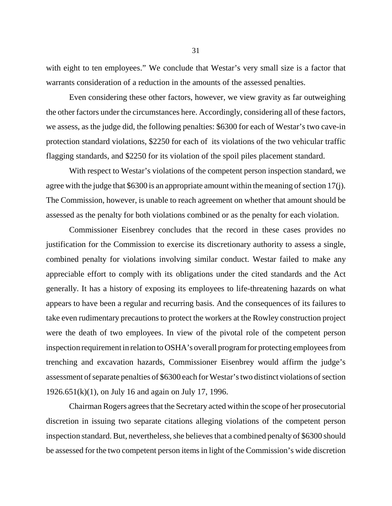with eight to ten employees." We conclude that Westar's very small size is a factor that warrants consideration of a reduction in the amounts of the assessed penalties.

Even considering these other factors, however, we view gravity as far outweighing the other factors under the circumstances here. Accordingly, considering all of these factors, we assess, as the judge did, the following penalties: \$6300 for each of Westar's two cave-in protection standard violations, \$2250 for each of its violations of the two vehicular traffic flagging standards, and \$2250 for its violation of the spoil piles placement standard.

With respect to Westar's violations of the competent person inspection standard, we agree with the judge that \$6300 is an appropriate amount within the meaning of section 17(j). The Commission, however, is unable to reach agreement on whether that amount should be assessed as the penalty for both violations combined or as the penalty for each violation.

Commissioner Eisenbrey concludes that the record in these cases provides no justification for the Commission to exercise its discretionary authority to assess a single, combined penalty for violations involving similar conduct. Westar failed to make any appreciable effort to comply with its obligations under the cited standards and the Act generally. It has a history of exposing its employees to life-threatening hazards on what appears to have been a regular and recurring basis. And the consequences of its failures to take even rudimentary precautions to protect the workers at the Rowley construction project were the death of two employees. In view of the pivotal role of the competent person inspection requirement in relation to OSHA's overall program for protecting employees from trenching and excavation hazards, Commissioner Eisenbrey would affirm the judge's assessment of separate penalties of \$6300 each for Westar's two distinct violations of section 1926.651(k)(1), on July 16 and again on July 17, 1996.

Chairman Rogers agrees that the Secretary acted within the scope of her prosecutorial discretion in issuing two separate citations alleging violations of the competent person inspection standard. But, nevertheless, she believes that a combined penalty of \$6300 should be assessed for the two competent person items in light of the Commission's wide discretion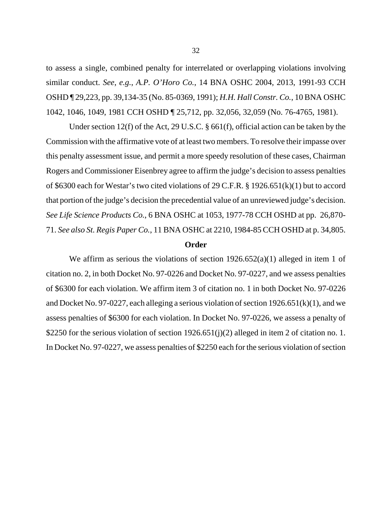to assess a single, combined penalty for interrelated or overlapping violations involving similar conduct. *See*, *e.g.*, *A.P. O'Horo Co.*, 14 BNA OSHC 2004, 2013, 1991-93 CCH OSHD ¶ 29,223, pp. 39,134-35 (No. 85-0369, 1991); *H.H. Hall Constr. Co.*, 10 BNA OSHC 1042, 1046, 1049, 1981 CCH OSHD ¶ 25,712, pp. 32,056, 32,059 (No. 76-4765, 1981).

Under section 12(f) of the Act, 29 U.S.C. § 661(f), official action can be taken by the Commission with the affirmative vote of at least two members. To resolve their impasse over this penalty assessment issue, and permit a more speedy resolution of these cases, Chairman Rogers and Commissioner Eisenbrey agree to affirm the judge's decision to assess penalties of \$6300 each for Westar's two cited violations of 29 C.F.R. § 1926.651(k)(1) but to accord that portion of the judge's decision the precedential value of an unreviewed judge's decision. *See Life Science Products Co.*, 6 BNA OSHC at 1053, 1977-78 CCH OSHD at pp. 26,870- 71. *See also St. Regis Paper Co.*, 11 BNA OSHC at 2210, 1984-85 CCH OSHD at p. 34,805.

#### **Order**

We affirm as serious the violations of section  $1926.652(a)(1)$  alleged in item 1 of citation no. 2, in both Docket No. 97-0226 and Docket No. 97-0227, and we assess penalties of \$6300 for each violation. We affirm item 3 of citation no. 1 in both Docket No. 97-0226 and Docket No. 97-0227, each alleging a serious violation of section  $1926.651(k)(1)$ , and we assess penalties of \$6300 for each violation. In Docket No. 97-0226, we assess a penalty of \$2250 for the serious violation of section 1926.651(j)(2) alleged in item 2 of citation no. 1. In Docket No. 97-0227, we assess penalties of \$2250 each for the serious violation of section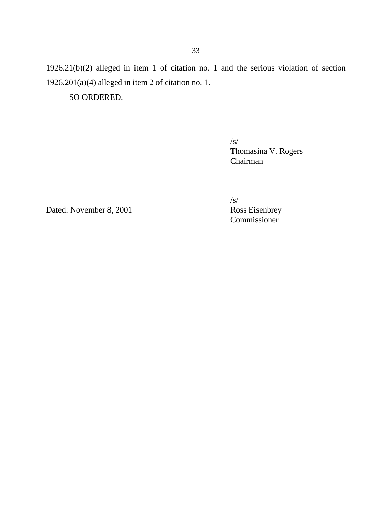1926.21(b)(2) alleged in item 1 of citation no. 1 and the serious violation of section 1926.201(a)(4) alleged in item 2 of citation no. 1.

SO ORDERED.

/s/ Thomasina V. Rogers Chairman

Dated: November 8, 2001

/s/<br>Ross Eisenbrey Commissioner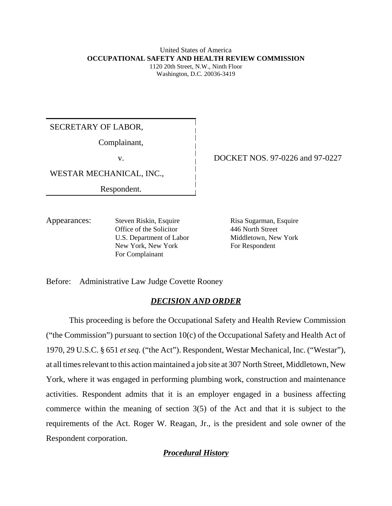#### United States of America **OCCUPATIONAL SAFETY AND HEALTH REVIEW COMMISSION** 1120 20th Street, N.W., Ninth Floor

Washington, D.C. 20036-3419

SECRETARY OF LABOR,

Complainant,

v.

WESTAR MECHANICAL, INC.,

Respondent.

DOCKET NOS. 97-0226 and 97-0227

Appearances: Steven Riskin, Esquire Office of the Solicitor U.S. Department of Labor New York, New York For Complainant

Risa Sugarman, Esquire 446 North Street Middletown, New York For Respondent

Before: Administrative Law Judge Covette Rooney

## *DECISION AND ORDER*

This proceeding is before the Occupational Safety and Health Review Commission ("the Commission") pursuant to section  $10(c)$  of the Occupational Safety and Health Act of 1970, 29 U.S.C. § 651 *et seq.* ("the Act"). Respondent, Westar Mechanical, Inc. ("Westar"), at all times relevant to this action maintained a job site at 307 North Street, Middletown, New York, where it was engaged in performing plumbing work, construction and maintenance activities. Respondent admits that it is an employer engaged in a business affecting commerce within the meaning of section 3(5) of the Act and that it is subject to the requirements of the Act. Roger W. Reagan, Jr., is the president and sole owner of the Respondent corporation.

*Procedural History*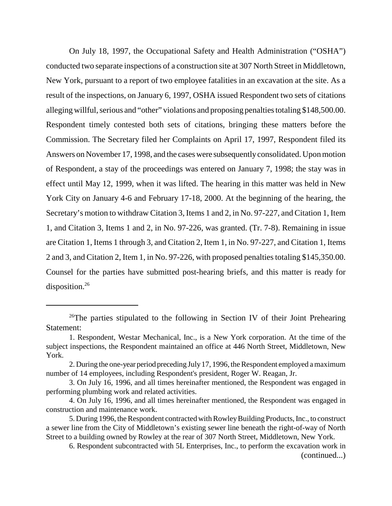On July 18, 1997, the Occupational Safety and Health Administration ("OSHA") conducted two separate inspections of a construction site at 307 North Street in Middletown, New York, pursuant to a report of two employee fatalities in an excavation at the site. As a result of the inspections, on January 6, 1997, OSHA issued Respondent two sets of citations alleging willful, serious and "other" violations and proposing penalties totaling \$148,500.00. Respondent timely contested both sets of citations, bringing these matters before the Commission. The Secretary filed her Complaints on April 17, 1997, Respondent filed its Answers on November 17, 1998, and the cases were subsequently consolidated. Upon motion of Respondent, a stay of the proceedings was entered on January 7, 1998; the stay was in effect until May 12, 1999, when it was lifted. The hearing in this matter was held in New York City on January 4-6 and February 17-18, 2000. At the beginning of the hearing, the Secretary's motion to withdraw Citation 3, Items 1 and 2, in No. 97-227, and Citation 1, Item 1, and Citation 3, Items 1 and 2, in No. 97-226, was granted. (Tr. 7-8). Remaining in issue are Citation 1, Items 1 through 3, and Citation 2, Item 1, in No. 97-227, and Citation 1, Items 2 and 3, and Citation 2, Item 1, in No. 97-226, with proposed penalties totaling \$145,350.00. Counsel for the parties have submitted post-hearing briefs, and this matter is ready for disposition.<sup>26</sup>

<sup>&</sup>lt;sup>26</sup>The parties stipulated to the following in Section IV of their Joint Prehearing Statement:

<sup>1.</sup> Respondent, Westar Mechanical, Inc., is a New York corporation. At the time of the subject inspections, the Respondent maintained an office at 446 North Street, Middletown, New York.

<sup>2.</sup> During the one-year period preceding July17, 1996, the Respondent employed a maximum number of 14 employees, including Respondent's president, Roger W. Reagan, Jr.

<sup>3.</sup> On July 16, 1996, and all times hereinafter mentioned, the Respondent was engaged in performing plumbing work and related activities.

<sup>4.</sup> On July 16, 1996, and all times hereinafter mentioned, the Respondent was engaged in construction and maintenance work.

<sup>5.</sup> During 1996, the Respondent contracted with Rowley Building Products, Inc., to construct a sewer line from the City of Middletown's existing sewer line beneath the right-of-way of North Street to a building owned by Rowley at the rear of 307 North Street, Middletown, New York.

<sup>6.</sup> Respondent subcontracted with 5L Enterprises, Inc., to perform the excavation work in (continued...)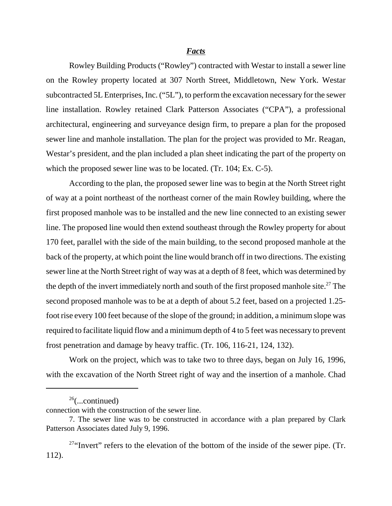#### *Facts*

Rowley Building Products ("Rowley") contracted with Westar to install a sewer line on the Rowley property located at 307 North Street, Middletown, New York. Westar subcontracted 5L Enterprises, Inc. ("5L"), to perform the excavation necessary for the sewer line installation. Rowley retained Clark Patterson Associates ("CPA"), a professional architectural, engineering and surveyance design firm, to prepare a plan for the proposed sewer line and manhole installation. The plan for the project was provided to Mr. Reagan, Westar's president, and the plan included a plan sheet indicating the part of the property on which the proposed sewer line was to be located. (Tr. 104; Ex. C-5).

According to the plan, the proposed sewer line was to begin at the North Street right of way at a point northeast of the northeast corner of the main Rowley building, where the first proposed manhole was to be installed and the new line connected to an existing sewer line. The proposed line would then extend southeast through the Rowley property for about 170 feet, parallel with the side of the main building, to the second proposed manhole at the back of the property, at which point the line would branch off in two directions. The existing sewer line at the North Street right of way was at a depth of 8 feet, which was determined by the depth of the invert immediately north and south of the first proposed manhole site.<sup>27</sup> The second proposed manhole was to be at a depth of about 5.2 feet, based on a projected 1.25 foot rise every 100 feet because of the slope of the ground; in addition, a minimum slope was required to facilitate liquid flow and a minimum depth of 4 to 5 feet was necessary to prevent frost penetration and damage by heavy traffic. (Tr. 106, 116-21, 124, 132).

Work on the project, which was to take two to three days, began on July 16, 1996, with the excavation of the North Street right of way and the insertion of a manhole. Chad

 $26$ (...continued)

connection with the construction of the sewer line.

<sup>7.</sup> The sewer line was to be constructed in accordance with a plan prepared by Clark Patterson Associates dated July 9, 1996.

<sup>&</sup>lt;sup>27"</sup>Invert" refers to the elevation of the bottom of the inside of the sewer pipe. (Tr. 112).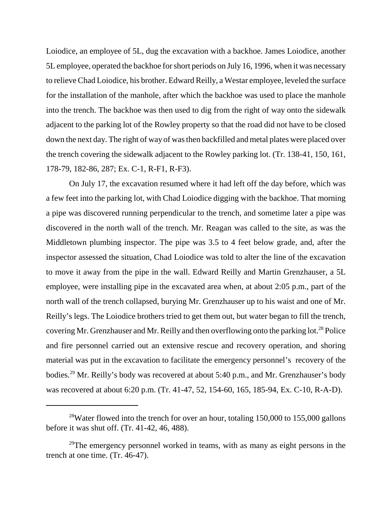Loiodice, an employee of 5L, dug the excavation with a backhoe. James Loiodice, another 5L employee, operated the backhoe for short periods on July 16, 1996, when it was necessary to relieve Chad Loiodice, his brother. Edward Reilly, a Westar employee, leveled the surface for the installation of the manhole, after which the backhoe was used to place the manhole into the trench. The backhoe was then used to dig from the right of way onto the sidewalk adjacent to the parking lot of the Rowley property so that the road did not have to be closed down the next day. The right of way of was then backfilled and metal plates were placed over the trench covering the sidewalk adjacent to the Rowley parking lot. (Tr. 138-41, 150, 161, 178-79, 182-86, 287; Ex. C-1, R-F1, R-F3).

On July 17, the excavation resumed where it had left off the day before, which was a few feet into the parking lot, with Chad Loiodice digging with the backhoe. That morning a pipe was discovered running perpendicular to the trench, and sometime later a pipe was discovered in the north wall of the trench. Mr. Reagan was called to the site, as was the Middletown plumbing inspector. The pipe was 3.5 to 4 feet below grade, and, after the inspector assessed the situation, Chad Loiodice was told to alter the line of the excavation to move it away from the pipe in the wall. Edward Reilly and Martin Grenzhauser, a 5L employee, were installing pipe in the excavated area when, at about 2:05 p.m., part of the north wall of the trench collapsed, burying Mr. Grenzhauser up to his waist and one of Mr. Reilly's legs. The Loiodice brothers tried to get them out, but water began to fill the trench, covering Mr. Grenzhauser and Mr. Reilly and then overflowing onto the parking  $\text{lot.}^{28}$  Police and fire personnel carried out an extensive rescue and recovery operation, and shoring material was put in the excavation to facilitate the emergency personnel's recovery of the bodies.29 Mr. Reilly's body was recovered at about 5:40 p.m., and Mr. Grenzhauser's body was recovered at about 6:20 p.m. (Tr. 41-47, 52, 154-60, 165, 185-94, Ex. C-10, R-A-D).

<sup>&</sup>lt;sup>28</sup>Water flowed into the trench for over an hour, totaling  $150,000$  to  $155,000$  gallons before it was shut off. (Tr. 41-42, 46, 488).

 $29$ The emergency personnel worked in teams, with as many as eight persons in the trench at one time. (Tr. 46-47).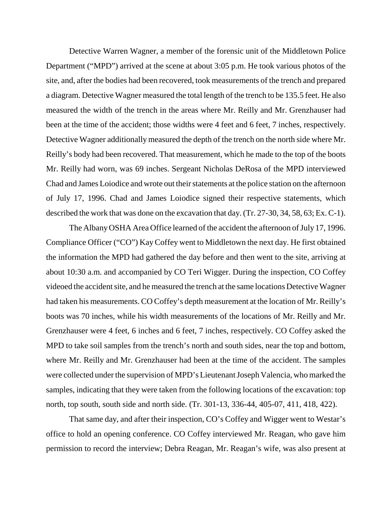Detective Warren Wagner, a member of the forensic unit of the Middletown Police Department ("MPD") arrived at the scene at about 3:05 p.m. He took various photos of the site, and, after the bodies had been recovered, took measurements of the trench and prepared a diagram. Detective Wagner measured the total length of the trench to be 135.5 feet. He also measured the width of the trench in the areas where Mr. Reilly and Mr. Grenzhauser had been at the time of the accident; those widths were 4 feet and 6 feet, 7 inches, respectively. Detective Wagner additionally measured the depth of the trench on the north side where Mr. Reilly's body had been recovered. That measurement, which he made to the top of the boots Mr. Reilly had worn, was 69 inches. Sergeant Nicholas DeRosa of the MPD interviewed Chad and James Loiodice and wrote out their statements at the police station on the afternoon of July 17, 1996. Chad and James Loiodice signed their respective statements, which described the work that was done on the excavation that day. (Tr. 27-30, 34, 58, 63; Ex. C-1).

The Albany OSHA Area Office learned of the accident the afternoon of July 17, 1996. Compliance Officer ("CO") Kay Coffey went to Middletown the next day. He first obtained the information the MPD had gathered the day before and then went to the site, arriving at about 10:30 a.m. and accompanied by CO Teri Wigger. During the inspection, CO Coffey videoed the accident site, and he measured the trench at the same locations Detective Wagner had taken his measurements. CO Coffey's depth measurement at the location of Mr. Reilly's boots was 70 inches, while his width measurements of the locations of Mr. Reilly and Mr. Grenzhauser were 4 feet, 6 inches and 6 feet, 7 inches, respectively. CO Coffey asked the MPD to take soil samples from the trench's north and south sides, near the top and bottom, where Mr. Reilly and Mr. Grenzhauser had been at the time of the accident. The samples were collected under the supervision of MPD's Lieutenant Joseph Valencia, who marked the samples, indicating that they were taken from the following locations of the excavation: top north, top south, south side and north side. (Tr. 301-13, 336-44, 405-07, 411, 418, 422).

That same day, and after their inspection, CO's Coffey and Wigger went to Westar's office to hold an opening conference. CO Coffey interviewed Mr. Reagan, who gave him permission to record the interview; Debra Reagan, Mr. Reagan's wife, was also present at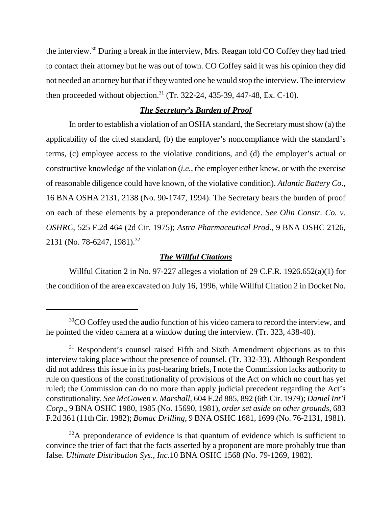the interview.30 During a break in the interview, Mrs. Reagan told CO Coffey they had tried to contact their attorney but he was out of town. CO Coffey said it was his opinion they did not needed an attorney but that if they wanted one he would stop the interview. The interview then proceeded without objection.<sup>31</sup> (Tr. 322-24, 435-39, 447-48, Ex. C-10).

### *The Secretary's Burden of Proof*

In order to establish a violation of an OSHA standard, the Secretary must show (a) the applicability of the cited standard, (b) the employer's noncompliance with the standard's terms, (c) employee access to the violative conditions, and (d) the employer's actual or constructive knowledge of the violation (*i.e.*, the employer either knew, or with the exercise of reasonable diligence could have known, of the violative condition). *Atlantic Battery Co.*, 16 BNA OSHA 2131, 2138 (No. 90-1747, 1994). The Secretary bears the burden of proof on each of these elements by a preponderance of the evidence. *See Olin Constr. Co. v. OSHRC*, 525 F.2d 464 (2d Cir. 1975); *Astra Pharmaceutical Prod.,* 9 BNA OSHC 2126, 2131 (No. 78-6247, 1981).<sup>32</sup>

### *The Willful Citations*

Willful Citation 2 in No. 97-227 alleges a violation of 29 C.F.R. 1926.652(a)(1) for the condition of the area excavated on July 16, 1996, while Willful Citation 2 in Docket No.

 $32A$  preponderance of evidence is that quantum of evidence which is sufficient to convince the trier of fact that the facts asserted by a proponent are more probably true than false. *Ultimate Distribution Sys., Inc.*10 BNA OSHC 1568 (No. 79-1269, 1982).

<sup>&</sup>lt;sup>30</sup>CO Coffey used the audio function of his video camera to record the interview, and he pointed the video camera at a window during the interview. (Tr. 323, 438-40).

<sup>&</sup>lt;sup>31</sup> Respondent's counsel raised Fifth and Sixth Amendment objections as to this interview taking place without the presence of counsel. (Tr. 332-33). Although Respondent did not address this issue in its post-hearing briefs, I note the Commission lacks authority to rule on questions of the constitutionality of provisions of the Act on which no court has yet ruled; the Commission can do no more than apply judicial precedent regarding the Act's constitutionality. *See McGowen v. Marshall,* 604 F.2d 885, 892 (6th Cir. 1979); *Daniel Int'l Corp*., 9 BNA OSHC 1980, 1985 (No. 15690, 1981), *order set aside on other grounds*, 683 F.2d 361 (11th Cir. 1982); *Bomac Drilling*, 9 BNA OSHC 1681, 1699 (No. 76-2131, 1981).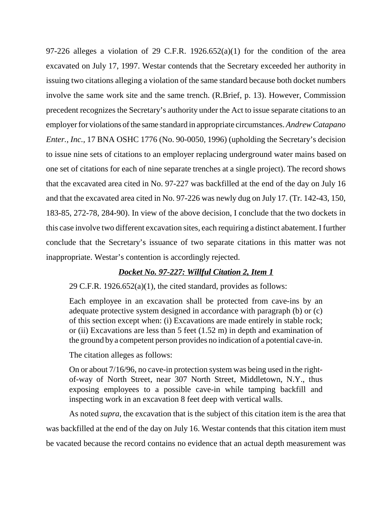97-226 alleges a violation of 29 C.F.R.  $1926.652(a)(1)$  for the condition of the area excavated on July 17, 1997. Westar contends that the Secretary exceeded her authority in issuing two citations alleging a violation of the same standard because both docket numbers involve the same work site and the same trench. (R.Brief, p. 13). However, Commission precedent recognizes the Secretary's authority under the Act to issue separate citations to an employer for violations of the same standard in appropriate circumstances. *Andrew Catapano Enter., Inc.,* 17 BNA OSHC 1776 (No. 90-0050, 1996) (upholding the Secretary's decision to issue nine sets of citations to an employer replacing underground water mains based on one set of citations for each of nine separate trenches at a single project). The record shows that the excavated area cited in No. 97-227 was backfilled at the end of the day on July 16 and that the excavated area cited in No. 97-226 was newly dug on July 17. (Tr. 142-43, 150, 183-85, 272-78, 284-90). In view of the above decision, I conclude that the two dockets in this case involve two different excavation sites, each requiring a distinct abatement. I further conclude that the Secretary's issuance of two separate citations in this matter was not inappropriate. Westar's contention is accordingly rejected.

### *Docket No. 97-227: Willful Citation 2, Item 1*

29 C.F.R. 1926.652(a)(1), the cited standard, provides as follows:

Each employee in an excavation shall be protected from cave-ins by an adequate protective system designed in accordance with paragraph (b) or (c) of this section except when: (i) Excavations are made entirely in stable rock; or (ii) Excavations are less than  $5$  feet (1.52 m) in depth and examination of the ground bya competent person provides no indication of a potential cave-in.

The citation alleges as follows:

On or about 7/16/96, no cave-in protection system was being used in the rightof-way of North Street, near 307 North Street, Middletown, N.Y., thus exposing employees to a possible cave-in while tamping backfill and inspecting work in an excavation 8 feet deep with vertical walls.

As noted *supra*, the excavation that is the subject of this citation item is the area that was backfilled at the end of the day on July 16. Westar contends that this citation item must be vacated because the record contains no evidence that an actual depth measurement was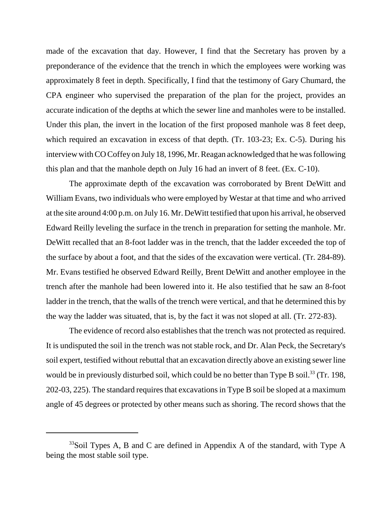made of the excavation that day. However, I find that the Secretary has proven by a preponderance of the evidence that the trench in which the employees were working was approximately 8 feet in depth. Specifically, I find that the testimony of Gary Chumard, the CPA engineer who supervised the preparation of the plan for the project, provides an accurate indication of the depths at which the sewer line and manholes were to be installed. Under this plan, the invert in the location of the first proposed manhole was 8 feet deep, which required an excavation in excess of that depth. (Tr. 103-23; Ex. C-5). During his interview with CO Coffey on July 18, 1996, Mr. Reagan acknowledged that he was following this plan and that the manhole depth on July 16 had an invert of 8 feet. (Ex. C-10).

The approximate depth of the excavation was corroborated by Brent DeWitt and William Evans, two individuals who were employed by Westar at that time and who arrived at the site around 4:00 p.m. on July 16. Mr. DeWitt testified that upon his arrival, he observed Edward Reilly leveling the surface in the trench in preparation for setting the manhole. Mr. DeWitt recalled that an 8-foot ladder was in the trench, that the ladder exceeded the top of the surface by about a foot, and that the sides of the excavation were vertical. (Tr. 284-89). Mr. Evans testified he observed Edward Reilly, Brent DeWitt and another employee in the trench after the manhole had been lowered into it. He also testified that he saw an 8-foot ladder in the trench, that the walls of the trench were vertical, and that he determined this by the way the ladder was situated, that is, by the fact it was not sloped at all. (Tr. 272-83).

The evidence of record also establishes that the trench was not protected as required. It is undisputed the soil in the trench was not stable rock, and Dr. Alan Peck, the Secretary's soil expert, testified without rebuttal that an excavation directly above an existing sewer line would be in previously disturbed soil, which could be no better than Type B soil.<sup>33</sup> (Tr. 198, 202-03, 225). The standard requires that excavations in Type B soil be sloped at a maximum angle of 45 degrees or protected by other means such as shoring. The record shows that the

 $33$ Soil Types A, B and C are defined in Appendix A of the standard, with Type A being the most stable soil type.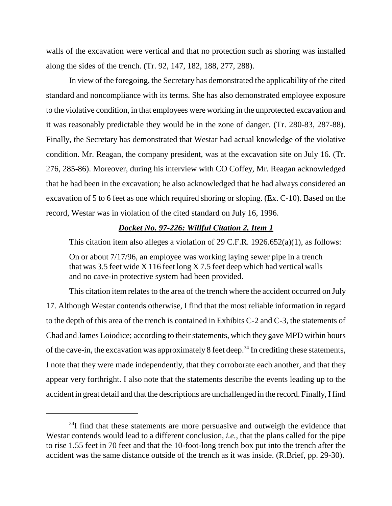walls of the excavation were vertical and that no protection such as shoring was installed along the sides of the trench. (Tr. 92, 147, 182, 188, 277, 288).

In view of the foregoing, the Secretary has demonstrated the applicability of the cited standard and noncompliance with its terms. She has also demonstrated employee exposure to the violative condition, in that employees were working in the unprotected excavation and it was reasonably predictable they would be in the zone of danger. (Tr. 280-83, 287-88). Finally, the Secretary has demonstrated that Westar had actual knowledge of the violative condition. Mr. Reagan, the company president, was at the excavation site on July 16. (Tr. 276, 285-86). Moreover, during his interview with CO Coffey, Mr. Reagan acknowledged that he had been in the excavation; he also acknowledged that he had always considered an excavation of 5 to 6 feet as one which required shoring or sloping. (Ex. C-10). Based on the record, Westar was in violation of the cited standard on July 16, 1996.

#### *Docket No. 97-226: Willful Citation 2, Item 1*

This citation item also alleges a violation of 29 C.F.R. 1926.652(a)(1), as follows:

On or about 7/17/96, an employee was working laying sewer pipe in a trench that was 3.5 feet wide X 116 feet long X 7.5 feet deep which had vertical walls and no cave-in protective system had been provided.

This citation item relates to the area of the trench where the accident occurred on July 17. Although Westar contends otherwise, I find that the most reliable information in regard to the depth of this area of the trench is contained in Exhibits C-2 and C-3, the statements of Chad and James Loiodice; according to their statements, which they gave MPD within hours of the cave-in, the excavation was approximately 8 feet deep.<sup>34</sup> In crediting these statements, I note that they were made independently, that they corroborate each another, and that they appear very forthright. I also note that the statements describe the events leading up to the accident in great detail and that the descriptions are unchallenged in the record. Finally, I find

 $34$ I find that these statements are more persuasive and outweigh the evidence that Westar contends would lead to a different conclusion, *i.e.*, that the plans called for the pipe to rise 1.55 feet in 70 feet and that the 10-foot-long trench box put into the trench after the accident was the same distance outside of the trench as it was inside. (R.Brief, pp. 29-30).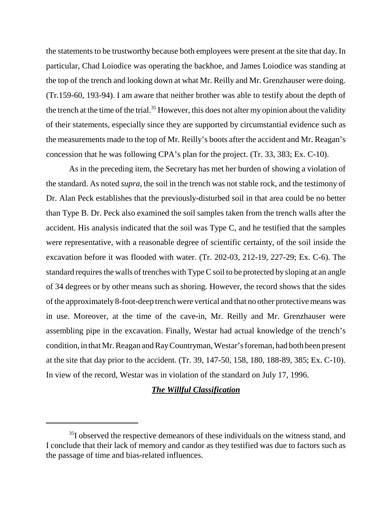the statements to be trustworthy because both employees were present at the site that day. In particular, Chad Loiodice was operating the backhoe, and James Loiodice was standing at the top of the trench and looking down at what Mr. Reilly and Mr. Grenzhauser were doing. (Tr.159-60, 193-94). I am aware that neither brother was able to testify about the depth of the trench at the time of the trial.<sup>35</sup> However, this does not alter my opinion about the validity of their statements, especially since they are supported by circumstantial evidence such as the measurements made to the top of Mr. Reilly's boots after the accident and Mr. Reagan's concession that he was following CPA's plan for the project. (Tr. 33, 383; Ex. C-10).

As in the preceding item, the Secretary has met her burden of showing a violation of the standard. As noted *supra*, the soil in the trench was not stable rock, and the testimony of Dr. Alan Peck establishes that the previously-disturbed soil in that area could be no better than Type B. Dr. Peck also examined the soil samples taken from the trench walls after the accident. His analysis indicated that the soil was Type C, and he testified that the samples were representative, with a reasonable degree of scientific certainty, of the soil inside the excavation before it was flooded with water. (Tr. 202-03, 212-19, 227-29; Ex. C-6). The standard requires the walls of trenches with Type C soil to be protected by sloping at an angle of 34 degrees or by other means such as shoring. However, the record shows that the sides of the approximately 8-foot-deep trench were vertical and that no other protective means was in use. Moreover, at the time of the cave-in, Mr. Reilly and Mr. Grenzhauser were assembling pipe in the excavation. Finally, Westar had actual knowledge of the trench's condition, in that Mr. Reagan and RayCountryman, Westar's foreman, had both been present at the site that day prior to the accident. (Tr. 39, 147-50, 158, 180, 188-89, 385; Ex. C-10). In view of the record, Westar was in violation of the standard on July 17, 1996.

### *The Willful Classification*

<sup>&</sup>lt;sup>35</sup>I observed the respective demeanors of these individuals on the witness stand, and I conclude that their lack of memory and candor as they testified was due to factors such as the passage of time and bias-related influences.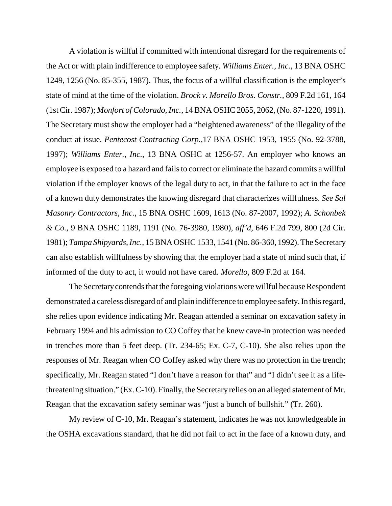A violation is willful if committed with intentional disregard for the requirements of the Act or with plain indifference to employee safety. *Williams Enter., Inc.*, 13 BNA OSHC 1249, 1256 (No. 85-355, 1987). Thus, the focus of a willful classification is the employer's state of mind at the time of the violation. *Brock v. Morello Bros. Constr.*, 809 F.2d 161, 164 (1st Cir. 1987); *Monfort of Colorado, Inc.*, 14 BNA OSHC 2055, 2062, (No. 87-1220, 1991). The Secretary must show the employer had a "heightened awareness" of the illegality of the conduct at issue. *Pentecost Contracting Corp.*,17 BNA OSHC 1953, 1955 (No. 92-3788, 1997); *Williams Enter., Inc.*, 13 BNA OSHC at 1256-57. An employer who knows an employee is exposed to a hazard and fails to correct or eliminate the hazard commits a willful violation if the employer knows of the legal duty to act, in that the failure to act in the face of a known duty demonstrates the knowing disregard that characterizes willfulness. *See Sal Masonry Contractors, Inc.*, 15 BNA OSHC 1609, 1613 (No. 87-2007, 1992); *A. Schonbek & Co.*, 9 BNA OSHC 1189, 1191 (No. 76-3980, 1980), *aff'd*, 646 F.2d 799, 800 (2d Cir. 1981); *Tampa Shipyards, Inc.*, 15 BNA OSHC 1533, 1541 (No. 86-360, 1992). The Secretary can also establish willfulness by showing that the employer had a state of mind such that, if informed of the duty to act, it would not have cared. *Morello*, 809 F.2d at 164.

The Secretary contends that the foregoing violations were willful because Respondent demonstrated a careless disregard of and plain indifference to employee safety. In this regard, she relies upon evidence indicating Mr. Reagan attended a seminar on excavation safety in February 1994 and his admission to CO Coffey that he knew cave-in protection was needed in trenches more than 5 feet deep. (Tr. 234-65; Ex. C-7, C-10). She also relies upon the responses of Mr. Reagan when CO Coffey asked why there was no protection in the trench; specifically, Mr. Reagan stated "I don't have a reason for that" and "I didn't see it as a lifethreatening situation." (Ex. C-10). Finally, the Secretary relies on an alleged statement of Mr. Reagan that the excavation safety seminar was "just a bunch of bullshit." (Tr. 260).

My review of C-10, Mr. Reagan's statement, indicates he was not knowledgeable in the OSHA excavations standard, that he did not fail to act in the face of a known duty, and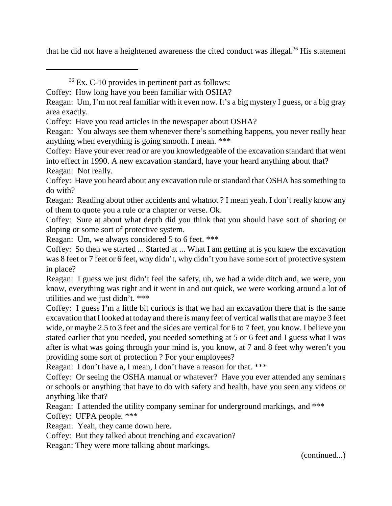that he did not have a heightened awareness the cited conduct was illegal.<sup>36</sup> His statement

Coffey: Have you heard about any excavation rule or standard that OSHA has something to do with?

Reagan: Reading about other accidents and whatnot ? I mean yeah. I don't really know any of them to quote you a rule or a chapter or verse. Ok.

Coffey: Sure at about what depth did you think that you should have sort of shoring or sloping or some sort of protective system.

Reagan: Um, we always considered 5 to 6 feet. \*\*\*

Coffey: So then we started ... Started at ... What I am getting at is you knew the excavation was 8 feet or 7 feet or 6 feet, why didn't, why didn't you have some sort of protective system in place?

Reagan: I guess we just didn't feel the safety, uh, we had a wide ditch and, we were, you know, everything was tight and it went in and out quick, we were working around a lot of utilities and we just didn't. \*\*\*

Coffey: I guess I'm a little bit curious is that we had an excavation there that is the same excavation that I looked at today and there is many feet of vertical walls that are maybe 3 feet wide, or maybe 2.5 to 3 feet and the sides are vertical for 6 to 7 feet, you know. I believe you stated earlier that you needed, you needed something at 5 or 6 feet and I guess what I was after is what was going through your mind is, you know, at 7 and 8 feet why weren't you providing some sort of protection ? For your employees?

Reagan: I don't have a, I mean, I don't have a reason for that. \*\*\*

Coffey: Or seeing the OSHA manual or whatever? Have you ever attended any seminars or schools or anything that have to do with safety and health, have you seen any videos or anything like that?

Reagan: I attended the utility company seminar for underground markings, and \*\*\*

Coffey: UFPA people. \*\*\*

Reagan: Yeah, they came down here.

Coffey: But they talked about trenching and excavation?

Reagan: They were more talking about markings.

(continued...)

 $36$  Ex. C-10 provides in pertinent part as follows:

Coffey: How long have you been familiar with OSHA?

Reagan: Um, I'm not real familiar with it even now. It's a big mystery I guess, or a big gray area exactly.

Coffey: Have you read articles in the newspaper about OSHA?

Reagan: You always see them whenever there's something happens, you never really hear anything when everything is going smooth. I mean. \*\*\*

Coffey: Have your ever read or are you knowledgeable of the excavation standard that went into effect in 1990. A new excavation standard, have your heard anything about that? Reagan: Not really.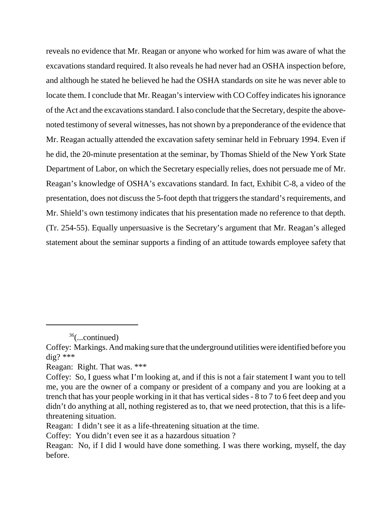reveals no evidence that Mr. Reagan or anyone who worked for him was aware of what the excavations standard required. It also reveals he had never had an OSHA inspection before, and although he stated he believed he had the OSHA standards on site he was never able to locate them. I conclude that Mr. Reagan's interview with CO Coffey indicates his ignorance of the Act and the excavations standard. I also conclude that the Secretary, despite the abovenoted testimony of several witnesses, has not shown by a preponderance of the evidence that Mr. Reagan actually attended the excavation safety seminar held in February 1994. Even if he did, the 20-minute presentation at the seminar, by Thomas Shield of the New York State Department of Labor, on which the Secretary especially relies, does not persuade me of Mr. Reagan's knowledge of OSHA's excavations standard. In fact, Exhibit C-8, a video of the presentation, does not discuss the 5-foot depth that triggers the standard's requirements, and Mr. Shield's own testimony indicates that his presentation made no reference to that depth. (Tr. 254-55). Equally unpersuasive is the Secretary's argument that Mr. Reagan's alleged statement about the seminar supports a finding of an attitude towards employee safety that

<sup>36(...</sup>continued)

Coffey: Markings. And making sure that the underground utilities were identified before you  $\text{dig?}$ \*\*\*

Reagan: Right. That was. \*\*\*

Coffey: So, I guess what I'm looking at, and if this is not a fair statement I want you to tell me, you are the owner of a company or president of a company and you are looking at a trench that has your people working in it that has vertical sides - 8 to 7 to 6 feet deep and you didn't do anything at all, nothing registered as to, that we need protection, that this is a lifethreatening situation.

Reagan: I didn't see it as a life-threatening situation at the time.

Coffey: You didn't even see it as a hazardous situation ?

Reagan: No, if I did I would have done something. I was there working, myself, the day before.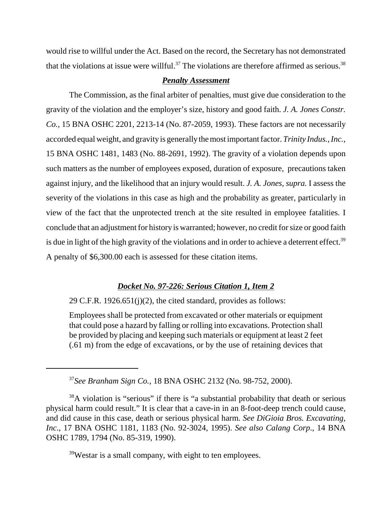would rise to willful under the Act. Based on the record, the Secretary has not demonstrated that the violations at issue were willful.<sup>37</sup> The violations are therefore affirmed as serious.<sup>38</sup>

### *Penalty Assessment*

The Commission, as the final arbiter of penalties, must give due consideration to the gravity of the violation and the employer's size, history and good faith. *J. A. Jones Constr. Co.*, 15 BNA OSHC 2201, 2213-14 (No. 87-2059, 1993). These factors are not necessarily accorded equal weight, and gravity is generally the most important factor. *Trinity Indus., Inc.,*  15 BNA OSHC 1481, 1483 (No. 88-2691, 1992). The gravity of a violation depends upon such matters as the number of employees exposed, duration of exposure, precautions taken against injury, and the likelihood that an injury would result. *J. A. Jones, supra.* I assess the severity of the violations in this case as high and the probability as greater, particularly in view of the fact that the unprotected trench at the site resulted in employee fatalities. I conclude that an adjustment for history is warranted; however, no credit for size or good faith is due in light of the high gravity of the violations and in order to achieve a deterrent effect.<sup>39</sup> A penalty of \$6,300.00 each is assessed for these citation items.

### *Docket No. 97-226: Serious Citation 1, Item 2*

29 C.F.R. 1926.651(j)(2), the cited standard, provides as follows:

Employees shall be protected from excavated or other materials or equipment that could pose a hazard by falling or rolling into excavations. Protection shall be provided by placing and keeping such materials or equipment at least 2 feet (.61 m) from the edge of excavations, or by the use of retaining devices that

39Westar is a small company, with eight to ten employees.

<sup>37</sup>*See Branham Sign Co.,* 18 BNA OSHC 2132 (No. 98-752, 2000).

<sup>&</sup>lt;sup>38</sup>A violation is "serious" if there is "a substantial probability that death or serious physical harm could result." It is clear that a cave-in in an 8-foot-deep trench could cause, and did cause in this case, death or serious physical harm. *See DiGioia Bros. Excavating, Inc*., 17 BNA OSHC 1181, 1183 (No. 92-3024, 1995). *See also Calang Corp*., 14 BNA OSHC 1789, 1794 (No. 85-319, 1990).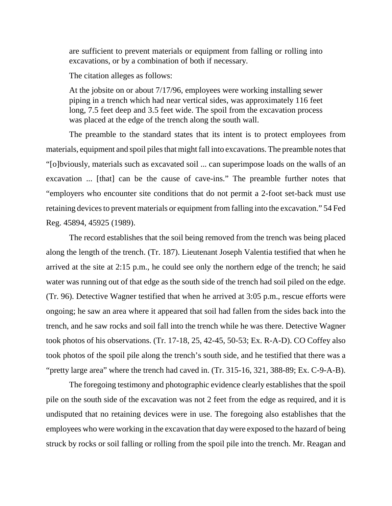are sufficient to prevent materials or equipment from falling or rolling into excavations, or by a combination of both if necessary.

The citation alleges as follows:

At the jobsite on or about 7/17/96, employees were working installing sewer piping in a trench which had near vertical sides, was approximately 116 feet long, 7.5 feet deep and 3.5 feet wide. The spoil from the excavation process was placed at the edge of the trench along the south wall.

The preamble to the standard states that its intent is to protect employees from materials, equipment and spoil piles that might fall into excavations. The preamble notes that "[o]bviously, materials such as excavated soil ... can superimpose loads on the walls of an excavation ... [that] can be the cause of cave-ins." The preamble further notes that "employers who encounter site conditions that do not permit a 2-foot set-back must use retaining devices to prevent materials or equipment from falling into the excavation." 54 Fed Reg. 45894, 45925 (1989).

The record establishes that the soil being removed from the trench was being placed along the length of the trench. (Tr. 187). Lieutenant Joseph Valentia testified that when he arrived at the site at 2:15 p.m., he could see only the northern edge of the trench; he said water was running out of that edge as the south side of the trench had soil piled on the edge. (Tr. 96). Detective Wagner testified that when he arrived at 3:05 p.m., rescue efforts were ongoing; he saw an area where it appeared that soil had fallen from the sides back into the trench, and he saw rocks and soil fall into the trench while he was there. Detective Wagner took photos of his observations. (Tr. 17-18, 25, 42-45, 50-53; Ex. R-A-D). CO Coffey also took photos of the spoil pile along the trench's south side, and he testified that there was a "pretty large area" where the trench had caved in. (Tr. 315-16, 321, 388-89; Ex. C-9-A-B).

The foregoing testimony and photographic evidence clearly establishes that the spoil pile on the south side of the excavation was not 2 feet from the edge as required, and it is undisputed that no retaining devices were in use. The foregoing also establishes that the employees who were working in the excavation that day were exposed to the hazard of being struck by rocks or soil falling or rolling from the spoil pile into the trench. Mr. Reagan and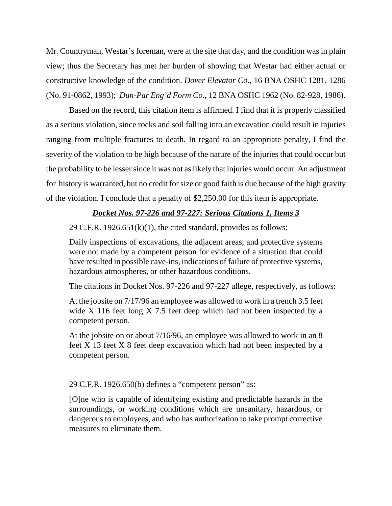Mr. Countryman, Westar's foreman, were at the site that day, and the condition was in plain view; thus the Secretary has met her burden of showing that Westar had either actual or constructive knowledge of the condition. *Dover Elevator Co.*, 16 BNA OSHC 1281, 1286 (No. 91-0862, 1993); *Dun-Par Eng'd Form Co.*, 12 BNA OSHC 1962 (No. 82-928, 1986).

Based on the record, this citation item is affirmed. I find that it is properly classified as a serious violation, since rocks and soil falling into an excavation could result in injuries ranging from multiple fractures to death. In regard to an appropriate penalty, I find the severity of the violation to be high because of the nature of the injuries that could occur but the probability to be lesser since it was not as likely that injuries would occur. An adjustment for history is warranted, but no credit for size or good faith is due because of the high gravity of the violation. I conclude that a penalty of \$2,250.00 for this item is appropriate.

### *Docket Nos. 97-226 and 97-227: Serious Citations 1, Items 3*

29 C.F.R. 1926.651 $(k)(1)$ , the cited standard, provides as follows:

Daily inspections of excavations, the adjacent areas, and protective systems were not made by a competent person for evidence of a situation that could have resulted in possible cave-ins, indications of failure of protective systems, hazardous atmospheres, or other hazardous conditions.

The citations in Docket Nos. 97-226 and 97-227 allege, respectively, as follows:

At the jobsite on 7/17/96 an employee was allowed to work in a trench 3.5 feet wide X 116 feet long X 7.5 feet deep which had not been inspected by a competent person.

At the jobsite on or about 7/16/96, an employee was allowed to work in an 8 feet X 13 feet X 8 feet deep excavation which had not been inspected by a competent person.

29 C.F.R. 1926.650(b) defines a "competent person" as:

[O]ne who is capable of identifying existing and predictable hazards in the surroundings, or working conditions which are unsanitary, hazardous, or dangerous to employees, and who has authorization to take prompt corrective measures to eliminate them.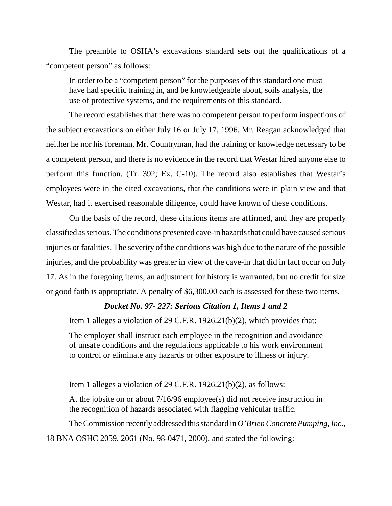The preamble to OSHA's excavations standard sets out the qualifications of a "competent person" as follows:

In order to be a "competent person" for the purposes of this standard one must have had specific training in, and be knowledgeable about, soils analysis, the use of protective systems, and the requirements of this standard.

The record establishes that there was no competent person to perform inspections of the subject excavations on either July 16 or July 17, 1996. Mr. Reagan acknowledged that neither he nor his foreman, Mr. Countryman, had the training or knowledge necessary to be a competent person, and there is no evidence in the record that Westar hired anyone else to perform this function. (Tr. 392; Ex. C-10). The record also establishes that Westar's employees were in the cited excavations, that the conditions were in plain view and that Westar, had it exercised reasonable diligence, could have known of these conditions.

On the basis of the record, these citations items are affirmed, and they are properly classified as serious. The conditions presented cave-in hazards that could have caused serious injuries or fatalities. The severity of the conditions was high due to the nature of the possible injuries, and the probability was greater in view of the cave-in that did in fact occur on July 17. As in the foregoing items, an adjustment for history is warranted, but no credit for size or good faith is appropriate. A penalty of \$6,300.00 each is assessed for these two items.

### *Docket No. 97- 227: Serious Citation 1, Items 1 and 2*

Item 1 alleges a violation of 29 C.F.R. 1926.21(b)(2), which provides that:

The employer shall instruct each employee in the recognition and avoidance of unsafe conditions and the regulations applicable to his work environment to control or eliminate any hazards or other exposure to illness or injury.

Item 1 alleges a violation of 29 C.F.R. 1926.21(b)(2), as follows:

At the jobsite on or about 7/16/96 employee(s) did not receive instruction in the recognition of hazards associated with flagging vehicular traffic.

The Commission recently addressed this standard in *O'Brien Concrete Pumping, Inc.,*  18 BNA OSHC 2059, 2061 (No. 98-0471, 2000), and stated the following: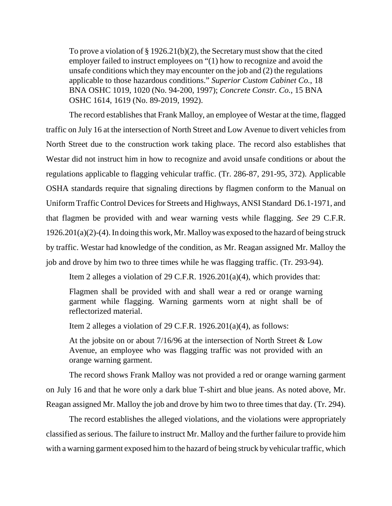To prove a violation of § 1926.21(b)(2), the Secretary must show that the cited employer failed to instruct employees on "(1) how to recognize and avoid the unsafe conditions which they may encounter on the job and (2) the regulations applicable to those hazardous conditions." *Superior Custom Cabinet Co.*, 18 BNA OSHC 1019, 1020 (No. 94-200, 1997); *Concrete Constr. Co.,* 15 BNA OSHC 1614, 1619 (No. 89-2019, 1992).

The record establishes that Frank Malloy, an employee of Westar at the time, flagged traffic on July 16 at the intersection of North Street and Low Avenue to divert vehicles from North Street due to the construction work taking place. The record also establishes that Westar did not instruct him in how to recognize and avoid unsafe conditions or about the regulations applicable to flagging vehicular traffic. (Tr. 286-87, 291-95, 372). Applicable OSHA standards require that signaling directions by flagmen conform to the Manual on Uniform Traffic Control Devices for Streets and Highways, ANSI Standard D6.1-1971, and that flagmen be provided with and wear warning vests while flagging. *See* 29 C.F.R. 1926.201(a)(2)-(4). In doing this work, Mr. Malloy was exposed to the hazard of being struck by traffic. Westar had knowledge of the condition, as Mr. Reagan assigned Mr. Malloy the job and drove by him two to three times while he was flagging traffic. (Tr. 293-94).

Item 2 alleges a violation of 29 C.F.R. 1926.201(a)(4), which provides that:

Flagmen shall be provided with and shall wear a red or orange warning garment while flagging. Warning garments worn at night shall be of reflectorized material.

Item 2 alleges a violation of 29 C.F.R. 1926.201(a)(4), as follows:

At the jobsite on or about 7/16/96 at the intersection of North Street & Low Avenue, an employee who was flagging traffic was not provided with an orange warning garment.

The record shows Frank Malloy was not provided a red or orange warning garment on July 16 and that he wore only a dark blue T-shirt and blue jeans. As noted above, Mr. Reagan assigned Mr. Malloy the job and drove by him two to three times that day. (Tr. 294).

The record establishes the alleged violations, and the violations were appropriately classified as serious. The failure to instruct Mr. Malloy and the further failure to provide him with a warning garment exposed him to the hazard of being struck by vehicular traffic, which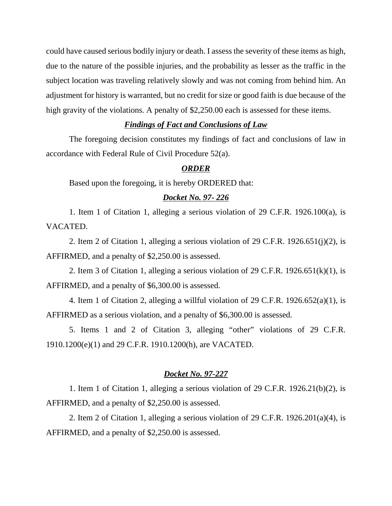could have caused serious bodily injury or death. I assess the severity of these items as high, due to the nature of the possible injuries, and the probability as lesser as the traffic in the subject location was traveling relatively slowly and was not coming from behind him. An adjustment for history is warranted, but no credit for size or good faith is due because of the high gravity of the violations. A penalty of \$2,250.00 each is assessed for these items.

### *Findings of Fact and Conclusions of Law*

The foregoing decision constitutes my findings of fact and conclusions of law in accordance with Federal Rule of Civil Procedure 52(a).

### *ORDER*

Based upon the foregoing, it is hereby ORDERED that:

#### *Docket No. 97- 226*

1. Item 1 of Citation 1, alleging a serious violation of 29 C.F.R. 1926.100(a), is VACATED.

2. Item 2 of Citation 1, alleging a serious violation of 29 C.F.R. 1926.651(j)(2), is AFFIRMED, and a penalty of \$2,250.00 is assessed.

2. Item 3 of Citation 1, alleging a serious violation of 29 C.F.R.  $1926.651(k)(1)$ , is AFFIRMED, and a penalty of \$6,300.00 is assessed.

4. Item 1 of Citation 2, alleging a willful violation of 29 C.F.R. 1926.652(a)(1), is AFFIRMED as a serious violation, and a penalty of \$6,300.00 is assessed.

5. Items 1 and 2 of Citation 3, alleging "other" violations of 29 C.F.R. 1910.1200(e)(1) and 29 C.F.R. 1910.1200(h), are VACATED.

#### *Docket No. 97-227*

1. Item 1 of Citation 1, alleging a serious violation of 29 C.F.R. 1926.21(b)(2), is AFFIRMED, and a penalty of \$2,250.00 is assessed.

2. Item 2 of Citation 1, alleging a serious violation of 29 C.F.R. 1926.201(a)(4), is AFFIRMED, and a penalty of \$2,250.00 is assessed.